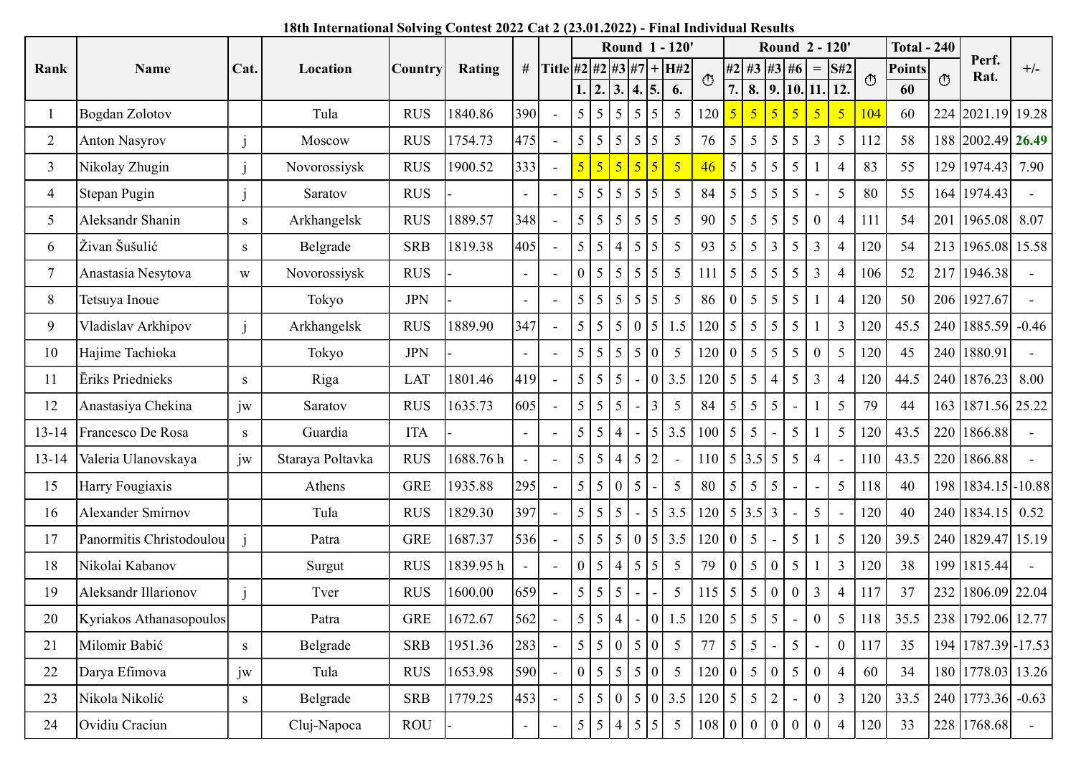## 18th International Solving Contest 2022 Cat 2 (23.01.2022) - Final Individual Results

|    | Rank           |                          |      |                                                                                       |                |                      |               |                           |                   |                                      |                                                       |                                    |     |                                   |                   |                                                                    |                 |                  |                       |         |                     |         |                      |         |
|----|----------------|--------------------------|------|---------------------------------------------------------------------------------------|----------------|----------------------|---------------|---------------------------|-------------------|--------------------------------------|-------------------------------------------------------|------------------------------------|-----|-----------------------------------|-------------------|--------------------------------------------------------------------|-----------------|------------------|-----------------------|---------|---------------------|---------|----------------------|---------|
|    |                |                          |      | 18th International Solving Contest 2022 Cat 2 (23.01.2022) - Final Individual Results |                |                      |               |                           |                   |                                      |                                                       |                                    |     |                                   |                   |                                                                    |                 |                  |                       |         |                     |         |                      |         |
|    |                |                          |      |                                                                                       |                |                      |               |                           |                   |                                      |                                                       | Round 1 - 120'                     |     |                                   |                   | Round 2 - 120'                                                     |                 |                  |                       |         | <b>Total - 240</b>  |         | Perf.                |         |
|    |                | Name                     | Cat. | Location                                                                              | <b>Country</b> | Rating               |               | # Title #2 #2 #3 #7 + H#2 |                   |                                      |                                                       |                                    |     | O                                 |                   | $ #2 $ #3   #3   #6   =   S#2  <br>7. 8. 9. 10. 11. 12.            |                 |                  |                       | $\circ$ | <b>Points</b><br>60 | $\circ$ | Rat.                 | $+/-$   |
|    |                | Bogdan Zolotov           |      | Tula                                                                                  | <b>RUS</b>     | 1840.86              | 390           | $\sim$                    |                   |                                      | 1.  2.  3.  4.  5.<br>$5 \mid 5 \mid 5 \mid 5 \mid 5$ | 6.<br>$5\overline{)}$              |     | $120 \mid 5$                      | $\overline{15}$   | 5 <sup>1</sup>                                                     | 5 <sub>o</sub>  | 5                | 5 <sub>o</sub><br>104 |         | 60                  | 224     | 2021.19 19.28        |         |
|    | 2              | Anton Nasyrov            |      | Moscow                                                                                | <b>RUS</b>     | 1754.73              | 475           | $\sim$                    |                   |                                      | $5 \mid 5 \mid 5 \mid 5 \mid 5$                       | $5\overline{)}$                    |     | 76 5                              |                   | $\vert 5 \vert 5 \vert$                                            | $5\overline{)}$ | 3                | $\overline{5}$        | 112     | 58                  |         | 188 2002.49 26.49    |         |
|    | $\mathfrak{Z}$ | Nikolay Zhugin           |      | Novorossiysk                                                                          | <b>RUS</b>     | 1900.52              | 333           | $\sim$                    | $5 \mid 5$        |                                      | $\sqrt{5}$                                            | 5 <sup>°</sup><br>$\vert 5 \vert$  |     | 46<br>$\overline{\phantom{0}}$    | $\vert 5 \vert$   | $\vert 5 \vert$                                                    | $\mathfrak{S}$  |                  | $\overline{4}$        | 83      | 55                  |         | 129 1974.43 7.90     |         |
|    | $\overline{4}$ | Stepan Pugin             |      | Saratov                                                                               | <b>RUS</b>     |                      | $\sim$        | $\sim$                    |                   |                                      | 5   5   5   5   5                                     | $5\overline{)}$                    |     | 84<br>$\vert 5$                   | $\vert 5 \vert$   | 5 <sup>1</sup>                                                     | $5\overline{)}$ |                  | 80<br>5 <sup>5</sup>  |         | 55                  |         | 164 1974.43          |         |
|    | 5              | Aleksandr Shanin         | S    | Arkhangelsk                                                                           | <b>RUS</b>     | 1889.57              | 348           | $\sim$                    |                   |                                      | $5 \mid 5 \mid 5 \mid 5 \mid 5$                       | $5\overline{)}$                    |     | 90<br>$\overline{5}$              | $\vert 5 \vert$   | $\vert 5 \vert$                                                    | $5\overline{)}$ | $\boldsymbol{0}$ | $\overline{4}$<br>111 |         | 54                  |         | 201   1965.08   8.07 |         |
|    | 6              | Živan Šušulić            | S    | Belgrade                                                                              | <b>SRB</b>     | 1819.38              | 405           | $\sim$                    | $\vert 5 \vert 5$ | l 4                                  |                                                       | $5\overline{)}$<br>$\overline{5}$  |     | 93<br>$\vert 5 \vert$             | $\frac{5}{5}$     | 3 <sup>1</sup>                                                     | $\mathfrak{S}$  | 3                | 4                     | 120     | 54                  |         | 213 1965.08 15.58    |         |
|    |                | Anastasia Nesytova       | W    | Novorossiysk                                                                          | <b>RUS</b>     |                      | $\sim$ $-$    | $\sim$                    | $0 \mid 5$        | $\overline{5}$                       | $\overline{5}$                                        | $5\overline{)}$<br>$5\overline{)}$ | 111 | $\vert 5$                         | $\vert 5 \vert$   | 5 <sup>1</sup>                                                     | 5               | 3                | 4                     | 106     | 52                  | 217     | 1946.38              |         |
|    | 8              | Tetsuya Inoue            |      | Tokyo                                                                                 | <b>JPN</b>     |                      | $\sim$        | $\overline{\phantom{a}}$  |                   |                                      | 5   5   5   5   5                                     | $5\overline{)}$                    |     | 86                                |                   | $\begin{array}{ c c c c c } \hline 0 & 5 & 5 \\\hline \end{array}$ | $5\overline{)}$ |                  | $\overline{4}$        | 120     | 50                  |         | 206 1927.67          |         |
|    | 9              | Vladislav Arkhipov       |      | Arkhangelsk                                                                           | <b>RUS</b>     | 1889.90              | 347           | $\sim$                    |                   | $5 \mid 5 \mid 5$                    |                                                       | $5\overline{)}$<br>1.5             |     | $120 \mid 5$                      | $\vert 5 \vert$   | 5 <sup>1</sup>                                                     | 5               |                  | $\mathfrak{Z}$        | 120     | 45.5                |         | 240   1885.59        | $-0.46$ |
|    | 10             | Hajime Tachioka          |      | Tokyo                                                                                 | <b>JPN</b>     |                      | $\sim$        | $\sim$                    |                   | 5 5 5                                | 5 0                                                   | $5\overline{)}$                    |     | $120$ 0                           | 5 <sup>1</sup>    | 5 <sup>1</sup>                                                     | 5               | $\overline{0}$   | $5\overline{)}$       | 120     | 45                  |         | 240   1880.91        |         |
|    | 11             | Eriks Priednieks         | S    | Riga                                                                                  | <b>LAT</b>     | 1801.46              | 419           |                           | -5                | $\overline{5}$<br>$\overline{5}$     |                                                       | $\vert 0 \vert$<br>3.5             |     | 120 5                             | $\vert 5 \vert$   | $\vert 4 \vert$                                                    | 5               | $\overline{3}$   | 4                     | 120     | 44.5                |         | 240   1876.23        | 8.00    |
|    | 12             | Anastasiya Chekina       | iw   | Saratov                                                                               | <b>RUS</b>     | 1635.73              | 605           |                           | -5                | $\vert 5 \rangle$<br>$\vert 5 \vert$ |                                                       | $5\overline{)}$<br>$\overline{3}$  |     | 84<br>  5                         | $\frac{5}{5}$     | 5 <sup>5</sup>                                                     |                 |                  | 5                     | 79      | 44                  |         | 163 1871.56 25.22    |         |
|    | $13 - 14$      | Francesco De Rosa        | S    | Guardia                                                                               | <b>ITA</b>     |                      | $\sim$ $-$    | $\sim$                    |                   | 5 5 4                                |                                                       | $5\overline{)}$<br>3.5             |     | $100 \mid 5 \mid 5$               |                   |                                                                    | 5               |                  | $5\overline{)}$       | 120     | 43.5                | 220     | 1866.88              |         |
|    | $13 - 14$      | Valeria Ulanovskaya      | iw   | Staraya Poltavka                                                                      | <b>RUS</b>     | $1688.76~\mathrm{h}$ |               | $\sim$                    |                   | 5 5 4                                | $\sqrt{5}$                                            | 2<br>$\sim$                        |     | $110 \mid 5 \mid 3.5 \mid 5 \mid$ |                   |                                                                    | 5               |                  |                       | 110     | 43.5                |         | 220 1866.88          |         |
|    | 15             | Harry Fougiaxis          |      | Athens                                                                                | <b>GRE</b>     | 1935.88              | 295           |                           | $5 \mid 5$        | I ()                                 | l 5                                                   | $5\overline{)}$                    |     | 80<br>$\vert 5 \vert$             | $\cdot$ 1.5 $\pm$ | $\vert 5 \vert$                                                    |                 |                  | $5\overline{)}$       | 118     | 40                  |         | 198 1834.15 - 10.88  |         |
|    | 16             | Alexander Smirnov        |      | Tula                                                                                  | <b>RUS</b>     | 1829.30              | 397           |                           |                   | $5 \mid 5 \mid 5$                    |                                                       | 3.5<br>$\overline{5}$              |     | $120 \mid 5 \mid 3.5 \mid 3 \mid$ |                   |                                                                    |                 | 5                |                       | 120     | 40                  |         | 240   1834.15        | 0.52    |
|    | 17             | Panormitis Christodoulou |      | Patra                                                                                 | <b>GRE</b>     | 1687.37              | 536           |                           |                   | 5 5 5                                | l O                                                   | 3.5<br>$\overline{5}$              |     | $120$ 0                           | $\frac{1}{5}$     |                                                                    | 5               |                  | $5\overline{)}$       | 120     | 39.5                |         | 240 1829.47 15.19    |         |
|    | 18             | Nikolai Kabanov          |      | Surgut                                                                                | <b>RUS</b>     | 1839.95h             |               |                           |                   | 0 5 4                                | $\vert 5 \vert 5$                                     | $5\overline{)}$                    |     | 79<br>$\vert 0 \vert$             |                   | $\vert 5 \vert 0 \vert$                                            | $\mathfrak{S}$  |                  | $\overline{3}$        | 120     | 38                  |         | 199 1815.44          |         |
|    | 19             | Aleksandr Illarionov     |      | Tver                                                                                  | <b>RUS</b>     | 1600.00              | 659           |                           | -5                | l 5<br>  5                           |                                                       | $5\overline{)}$                    |     | $115 \overline{\smash{\big)} }5$  |                   | $\vert 5 \vert 0 \vert$                                            | $\mathbf{0}$    | 3                | 4                     | 117     | 37                  |         | 232 1806.09 22.04    |         |
|    | 20             | Kyriakos Athanasopoulos  |      | Patra                                                                                 | <b>GRE</b>     | 1672.67              | 562           |                           | $5 \mid 5$        | $\mid 4$                             |                                                       | 1.5<br>$\overline{0}$              |     | $120 \mid 5 \mid 5 \mid$          |                   | 5 <sup>5</sup>                                                     |                 | $\boldsymbol{0}$ | $5\overline{)}$       | 118     | 35.5                |         | 238 1792.06 12.77    |         |
|    | 21             | Milomir Babić            | S    | Belgrade                                                                              | <b>SRB</b>     | 1951.36              | 283           |                           | $5 \mid 5$        | l 0                                  | $\overline{5}$                                        | $5\overline{)}$<br>$\vert 0 \vert$ |     | 77<br>  5                         | 5 <sup>5</sup>    |                                                                    | 5               |                  | $\overline{0}$        | 117     | 35                  |         | 194 1787.39 - 17.53  |         |
|    | 22             | Darya Efimova            | iw   | Tula                                                                                  | <b>RUS</b>     | 1653.98              | 590           | $\sim$                    |                   | 0 5 5                                | $\vert 5 \vert 0$                                     | $5\overline{)}$                    |     | 120 0 5 0                         |                   |                                                                    | $\mathfrak{S}$  | $\Omega$         |                       | 60      | 34                  |         | 180 1778.03 13.26    |         |
|    | 23             | Nikola Nikolić           | S    | Belgrade                                                                              | <b>SRB</b>     | 1779.25              | 453           |                           | $5 \mid 5$        | l ()                                 | $\vert 5 \vert 0 \vert$                               | 3.5                                |     | $120 \mid 5$                      | $\vert 5 \vert$   | 2                                                                  |                 | $\overline{0}$   | $\overline{3}$        | 120     | 33.5                |         | 240 1773.36          | $-0.63$ |
| 24 |                | Ovidiu Craciun           |      | Cluj-Napoca                                                                           | <b>ROU</b>     |                      | $\sim$ $\sim$ | $\sim$                    | $5 \mid 5$        | l 4                                  |                                                       | $5\overline{)}$<br>$5\overline{)}$ |     | 108<br>l ()                       | $\overline{0}$    | $\vert 0 \vert$                                                    | $\mathbf{0}$    | $\Omega$         | 4                     | 20      | 33                  | 228     | 1768.68              |         |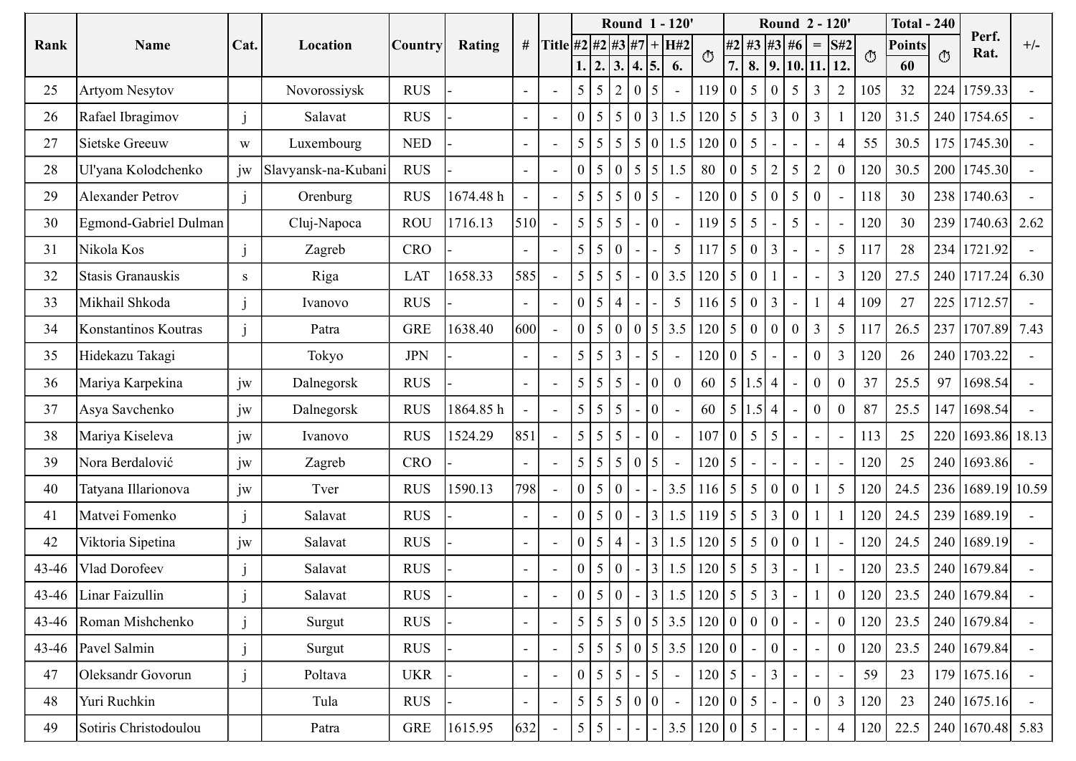| Round 1 - 120'<br>Round 2 - 120'<br><b>Total - 240</b><br>Perf.<br># Title #2 #2 #3 #7 + H#2<br>$#2$ #3 #3 #6<br>Cat.<br>$=$ S#2<br>$+/-$<br><b>Points</b><br>Name<br>Rating<br>Rank<br>Location<br>Country<br>Rat.<br>$\circ$<br>$\circ$<br>O<br>$\boxed{7.}$ 8. $\boxed{9.}$ 10. 11. 12.<br>1.  2.  3.  4.  5.<br>6.<br>60<br>$5\overline{)}$<br>224<br>105<br>32<br>1759.33<br><b>RUS</b><br>$5 \mid 5 \mid 2 \mid 0$<br>119<br>$\vert 5 \vert 0 \vert$<br>$\mathfrak{Z}$<br>$\overline{2}$<br>25<br><b>Artyom Nesytov</b><br>Novorossiysk<br>$\overline{5}$<br>$\sim$<br>$\sim$<br>$\begin{bmatrix} 5 & 5 & 0 & 3 & 1.5 & 120 & 5 & 5 & 3 \end{bmatrix}$<br>120<br>Rafael Ibragimov<br><b>RUS</b><br>$\mathbf{0}$<br>31.5<br>240 1754.65<br>3<br>26<br>Salavat<br>$\Omega$<br>$\sim$<br>5   5   5   5   0   1.5<br>55<br>175 1745.30<br>$120$ 0<br>Sietske Greeuw<br><b>NED</b><br>30.5<br>27<br>$\vert 5 \vert$<br>$\overline{4}$<br>Luxembourg<br>W<br>$\blacksquare$<br>5<br>30.5<br>jw<br><b>RUS</b><br>$0 \mid 5 \mid 0 \mid 5 \mid 5 \mid 1.5$<br>80<br>120<br>200 1745.30<br>28<br>$\boldsymbol{0}$<br>Ul'yana Kolodchenko<br>Slavyansk-na-Kubani<br>5<br>$\sim$<br>5 <sup>5</sup><br><b>RUS</b><br>1674.48 h<br>$5 \mid 5 \mid 5 \mid 0$<br>$120$ 0<br>118<br>238 1740.63<br>29<br>30<br><b>Alexander Petrov</b><br>Orenburg<br>$\vert 5 \vert 0 \vert$<br>$\bf{0}$<br>$\overline{5}$<br>$\sim$<br>$\blacksquare$<br>$\sim$<br>5 <sup>5</sup><br>510<br>$5 \mid 5$<br>120<br>30<br>239 1740.63 2.62<br>30<br>Egmond-Gabriel Dulman<br><b>ROU</b><br>1716.13<br>119<br>Cluj-Napoca<br>5<br>$\overline{5}$<br>5<br>$\vert$ () $\vert$<br>$\sim$<br>$\sim$<br>$\overline{\phantom{a}}$<br>234<br>Nikola Kos<br>$5\overline{)}$<br>$5\overline{)}$<br>1721.92<br>31<br><b>CRO</b><br>$5 \mid 5$<br>13 <sup>1</sup><br>117<br>28<br>117<br>$\overline{5}$<br>Zagreb<br>$\overline{0}$<br>l 0<br>$\blacksquare$<br>$\sim$<br>$\sim$<br>27.5<br>$240$ 1717.24 6.30<br>1658.33<br>  5   5   5   -   0   3.5   120   5   0   1  <br>Stasis Granauskis<br>Riga<br>585<br>3   120<br>LAT<br>32<br>$\sim$<br>S<br>$\sim$<br>$\sim$<br>$5\overline{)}$<br>$116 \mid 5 \mid 0 \mid 3 \mid$<br>27<br>225 1712.57<br>$0 \mid 5 \mid 4 \mid$<br>109<br><b>RUS</b><br>$\overline{4}$<br>33<br>Mikhail Shkoda<br>Ivanovo<br>$\blacksquare$<br>$\sim$ $-$<br>$\sim$<br>5 <sup>5</sup><br>26.5<br>237 1707.89 7.43<br>1638.40<br>600<br>$0 \mid 5 \mid 0 \mid 0 \mid 5 \mid 3.5$<br>$\overline{0}$<br>$\overline{3}$<br>GRE<br>$120 \mid 5 \mid 0 \mid 0 \mid$<br>117<br>Konstantinos Koutras<br>34<br>Patra<br><b>JPN</b><br>$5 \mid 5 \mid 3$<br>$\mathfrak{Z}$<br>120<br>26<br>240 1703.22<br>Hidekazu Takagi<br>$120$ 0<br>$\mathbf{0}$<br>35<br>Tokyo<br>$-1.5$ <sup>1</sup><br>5<br>$\sim$<br>$\blacksquare$<br>$\sim$<br>$\sim$<br>jw<br>60   5   1.5   4  <br>37<br>97<br>1698.54<br><b>RUS</b><br>$\boldsymbol{0}$<br>25.5<br>Mariya Karpekina<br>$5 \mid 5 \mid 5$<br>l o I<br>$\overline{0}$<br>36<br>Dalnegorsk<br>$\mathbf{0}$<br>$\sim$<br>jw<br>$5 \mid 5 \mid 5 \mid$<br>87<br>147 1698.54<br>1864.85h<br>60   5   1.5   4  <br>25.5<br>37<br>Asya Savchenko<br>Dalnegorsk<br><b>RUS</b><br> 0 <br>$\overline{0}$<br>$\overline{0}$<br>$\sim$<br>$\sim$<br>851<br>jw<br>107<br>$\vert 5 \vert 5 \vert$<br>220 1693.86 18.13<br>1524.29<br>25<br>Mariya Kiseleva<br>RUS<br> 0 <br>10 <sup>7</sup><br>113<br>38<br>Ivanovo<br>$\equiv$<br>$\sim$<br>$\overline{\phantom{a}}$<br>jw<br>120<br>25<br>Nora Berdalović<br>5   5   5   0   5<br>$120 \mid 5 \mid$<br>240 1693.86<br>39<br>Zagreb<br>CRO<br>$\sim$<br>$\sim$<br>$\sim$<br>$\sim$<br>$\overline{\phantom{a}}$<br>798<br>jw<br>3.5<br>236 1689.19 10.59<br>1590.13<br>$5\overline{)}$<br>120<br>24.5<br>Tatyana Illarionova<br>RUS<br>$0 \mid 5 \mid 0 \mid$<br>$116 \mid 5 \mid 5 \mid 0 \mid$<br>$\boldsymbol{0}$<br>Tver<br>40<br>$\sim$<br>3   1.5   119   5   5   3<br>120<br>$\overline{0}$<br>24.5<br>239 1689.19<br><b>RUS</b><br>Matvei Fomenko<br>Salavat<br>$\mathbf{0}$<br>5 0 <br>41<br>$\sim$<br>jw<br>$3 \mid 1.5$<br>$120 \mid 5 \mid 5 \mid 0 \mid$<br>$\boldsymbol{0}$<br>120<br>24.5<br>240 1689.19<br><b>RUS</b><br>Viktoria Sipetina<br>Salavat<br>$0 \mid 5 \mid 4 \mid$<br>42<br>$\sim$<br>$\overline{\phantom{a}}$<br>120<br>240 1679.84<br><b>RUS</b><br>$3 \mid 1.5$<br>$120 \mid 5 \mid 5 \mid 3$<br>23.5<br>$43 - 46$<br>Vlad Dorofeev<br>Salavat<br>$\vert 5 \vert 0 \vert$<br>$\theta$<br>$3 \mid 1.5$<br>23.5<br>240 1679.84<br><b>RUS</b><br>$0 \mid 5 \mid 0 \mid$<br>$120 \mid 5 \mid 5 \mid 3$<br>$\overline{0}$<br>120<br>$43 - 46$<br>Linar Faizullin<br>Salavat<br>$\blacksquare$<br>$5 \mid 5 \mid 5 \mid 0 \mid 5 \mid 3.5$<br>120 0 0 <br>$\vert 0 \vert$<br>$\overline{0}$<br>120<br>23.5<br>240 1679.84<br><b>RUS</b><br>43-46 Roman Mishchenko<br>Surgut<br>$\sim$<br>$\sim$<br>$5 \mid 5 \mid 5 \mid 0 \mid 5 \mid 3.5$<br>$\vert 0 \vert$<br>23.5<br>240 1679.84<br>$120$ 0<br>$\overline{0}$<br>120<br>43-46 Pavel Salmin<br><b>RUS</b><br>Surgut<br>$\blacksquare$<br>$\sim$<br>$\overline{3}$<br>179 1675.16<br><b>UKR</b><br>$120 \mid 5$<br>59<br>23<br>$0 \mid 5 \mid 5$<br>47<br>Oleksandr Govorun<br>Poltava<br>$\vert 5 \vert$<br>$\blacksquare$<br>$\sim$<br>$\sim$<br>$\overline{\phantom{a}}$<br>$5 \mid 5 \mid 5 \mid 0 \mid 0 \mid$<br>120<br>23<br>$\mathbf{0}$<br>$\overline{3}$<br>240 1675.16<br>48<br>Yuri Ruchkin<br><b>RUS</b><br>$120$ 0<br>151<br>Tula<br>$\sim$<br>$\sim$<br>$\sim$<br>$\sim$<br>GRE<br>632<br>$5 \mid 5 \mid -$<br>3.5<br>1615.95<br>120<br>22.5<br>240 1670.48 5.83<br>$120$ 0<br>$(1.5)^{1}$<br>Sotiris Christodoulou<br>Patra<br>49<br>$\overline{4}$<br>$\sim$<br>$\sim$ |  |  |  |  |  |  |  |  |  |  |  |  |
|----------------------------------------------------------------------------------------------------------------------------------------------------------------------------------------------------------------------------------------------------------------------------------------------------------------------------------------------------------------------------------------------------------------------------------------------------------------------------------------------------------------------------------------------------------------------------------------------------------------------------------------------------------------------------------------------------------------------------------------------------------------------------------------------------------------------------------------------------------------------------------------------------------------------------------------------------------------------------------------------------------------------------------------------------------------------------------------------------------------------------------------------------------------------------------------------------------------------------------------------------------------------------------------------------------------------------------------------------------------------------------------------------------------------------------------------------------------------------------------------------------------------------------------------------------------------------------------------------------------------------------------------------------------------------------------------------------------------------------------------------------------------------------------------------------------------------------------------------------------------------------------------------------------------------------------------------------------------------------------------------------------------------------------------------------------------------------------------------------------------------------------------------------------------------------------------------------------------------------------------------------------------------------------------------------------------------------------------------------------------------------------------------------------------------------------------------------------------------------------------------------------------------------------------------------------------------------------------------------------------------------------------------------------------------------------------------------------------------------------------------------------------------------------------------------------------------------------------------------------------------------------------------------------------------------------------------------------------------------------------------------------------------------------------------------------------------------------------------------------------------------------------------------------------------------------------------------------------------------------------------------------------------------------------------------------------------------------------------------------------------------------------------------------------------------------------------------------------------------------------------------------------------------------------------------------------------------------------------------------------------------------------------------------------------------------------------------------------------------------------------------------------------------------------------------------------------------------------------------------------------------------------------------------------------------------------------------------------------------------------------------------------------------------------------------------------------------------------------------------------------------------------------------------------------------------------------------------------------------------------------------------------------------------------------------------------------------------------------------------------------------------------------------------------------------------------------------------------------------------------------------------------------------------------------------------------------------------------------------------------------------------------------------------------------------------------------------------------------------------------------------------------------------------------------------------------------------------------------------------------------------------------------------------------------------------------------------------------------------------------------------------------------------------------------------------------------------------------------------------------------------------------------------------------------------------------------------------------------------------------------------------------------------------------------------------------------------------------------------------------------------------------------------------------------------------------------------------------------------------------------------------------------------------------------------------------------------------------------------------------------------------------------------------------------------------------------------------------------------|--|--|--|--|--|--|--|--|--|--|--|--|
|                                                                                                                                                                                                                                                                                                                                                                                                                                                                                                                                                                                                                                                                                                                                                                                                                                                                                                                                                                                                                                                                                                                                                                                                                                                                                                                                                                                                                                                                                                                                                                                                                                                                                                                                                                                                                                                                                                                                                                                                                                                                                                                                                                                                                                                                                                                                                                                                                                                                                                                                                                                                                                                                                                                                                                                                                                                                                                                                                                                                                                                                                                                                                                                                                                                                                                                                                                                                                                                                                                                                                                                                                                                                                                                                                                                                                                                                                                                                                                                                                                                                                                                                                                                                                                                                                                                                                                                                                                                                                                                                                                                                                                                                                                                                                                                                                                                                                                                                                                                                                                                                                                                                                                                                                                                                                                                                                                                                                                                                                                                                                                                                                                                                                                                                  |  |  |  |  |  |  |  |  |  |  |  |  |
|                                                                                                                                                                                                                                                                                                                                                                                                                                                                                                                                                                                                                                                                                                                                                                                                                                                                                                                                                                                                                                                                                                                                                                                                                                                                                                                                                                                                                                                                                                                                                                                                                                                                                                                                                                                                                                                                                                                                                                                                                                                                                                                                                                                                                                                                                                                                                                                                                                                                                                                                                                                                                                                                                                                                                                                                                                                                                                                                                                                                                                                                                                                                                                                                                                                                                                                                                                                                                                                                                                                                                                                                                                                                                                                                                                                                                                                                                                                                                                                                                                                                                                                                                                                                                                                                                                                                                                                                                                                                                                                                                                                                                                                                                                                                                                                                                                                                                                                                                                                                                                                                                                                                                                                                                                                                                                                                                                                                                                                                                                                                                                                                                                                                                                                                  |  |  |  |  |  |  |  |  |  |  |  |  |
|                                                                                                                                                                                                                                                                                                                                                                                                                                                                                                                                                                                                                                                                                                                                                                                                                                                                                                                                                                                                                                                                                                                                                                                                                                                                                                                                                                                                                                                                                                                                                                                                                                                                                                                                                                                                                                                                                                                                                                                                                                                                                                                                                                                                                                                                                                                                                                                                                                                                                                                                                                                                                                                                                                                                                                                                                                                                                                                                                                                                                                                                                                                                                                                                                                                                                                                                                                                                                                                                                                                                                                                                                                                                                                                                                                                                                                                                                                                                                                                                                                                                                                                                                                                                                                                                                                                                                                                                                                                                                                                                                                                                                                                                                                                                                                                                                                                                                                                                                                                                                                                                                                                                                                                                                                                                                                                                                                                                                                                                                                                                                                                                                                                                                                                                  |  |  |  |  |  |  |  |  |  |  |  |  |
|                                                                                                                                                                                                                                                                                                                                                                                                                                                                                                                                                                                                                                                                                                                                                                                                                                                                                                                                                                                                                                                                                                                                                                                                                                                                                                                                                                                                                                                                                                                                                                                                                                                                                                                                                                                                                                                                                                                                                                                                                                                                                                                                                                                                                                                                                                                                                                                                                                                                                                                                                                                                                                                                                                                                                                                                                                                                                                                                                                                                                                                                                                                                                                                                                                                                                                                                                                                                                                                                                                                                                                                                                                                                                                                                                                                                                                                                                                                                                                                                                                                                                                                                                                                                                                                                                                                                                                                                                                                                                                                                                                                                                                                                                                                                                                                                                                                                                                                                                                                                                                                                                                                                                                                                                                                                                                                                                                                                                                                                                                                                                                                                                                                                                                                                  |  |  |  |  |  |  |  |  |  |  |  |  |
|                                                                                                                                                                                                                                                                                                                                                                                                                                                                                                                                                                                                                                                                                                                                                                                                                                                                                                                                                                                                                                                                                                                                                                                                                                                                                                                                                                                                                                                                                                                                                                                                                                                                                                                                                                                                                                                                                                                                                                                                                                                                                                                                                                                                                                                                                                                                                                                                                                                                                                                                                                                                                                                                                                                                                                                                                                                                                                                                                                                                                                                                                                                                                                                                                                                                                                                                                                                                                                                                                                                                                                                                                                                                                                                                                                                                                                                                                                                                                                                                                                                                                                                                                                                                                                                                                                                                                                                                                                                                                                                                                                                                                                                                                                                                                                                                                                                                                                                                                                                                                                                                                                                                                                                                                                                                                                                                                                                                                                                                                                                                                                                                                                                                                                                                  |  |  |  |  |  |  |  |  |  |  |  |  |
|                                                                                                                                                                                                                                                                                                                                                                                                                                                                                                                                                                                                                                                                                                                                                                                                                                                                                                                                                                                                                                                                                                                                                                                                                                                                                                                                                                                                                                                                                                                                                                                                                                                                                                                                                                                                                                                                                                                                                                                                                                                                                                                                                                                                                                                                                                                                                                                                                                                                                                                                                                                                                                                                                                                                                                                                                                                                                                                                                                                                                                                                                                                                                                                                                                                                                                                                                                                                                                                                                                                                                                                                                                                                                                                                                                                                                                                                                                                                                                                                                                                                                                                                                                                                                                                                                                                                                                                                                                                                                                                                                                                                                                                                                                                                                                                                                                                                                                                                                                                                                                                                                                                                                                                                                                                                                                                                                                                                                                                                                                                                                                                                                                                                                                                                  |  |  |  |  |  |  |  |  |  |  |  |  |
|                                                                                                                                                                                                                                                                                                                                                                                                                                                                                                                                                                                                                                                                                                                                                                                                                                                                                                                                                                                                                                                                                                                                                                                                                                                                                                                                                                                                                                                                                                                                                                                                                                                                                                                                                                                                                                                                                                                                                                                                                                                                                                                                                                                                                                                                                                                                                                                                                                                                                                                                                                                                                                                                                                                                                                                                                                                                                                                                                                                                                                                                                                                                                                                                                                                                                                                                                                                                                                                                                                                                                                                                                                                                                                                                                                                                                                                                                                                                                                                                                                                                                                                                                                                                                                                                                                                                                                                                                                                                                                                                                                                                                                                                                                                                                                                                                                                                                                                                                                                                                                                                                                                                                                                                                                                                                                                                                                                                                                                                                                                                                                                                                                                                                                                                  |  |  |  |  |  |  |  |  |  |  |  |  |
|                                                                                                                                                                                                                                                                                                                                                                                                                                                                                                                                                                                                                                                                                                                                                                                                                                                                                                                                                                                                                                                                                                                                                                                                                                                                                                                                                                                                                                                                                                                                                                                                                                                                                                                                                                                                                                                                                                                                                                                                                                                                                                                                                                                                                                                                                                                                                                                                                                                                                                                                                                                                                                                                                                                                                                                                                                                                                                                                                                                                                                                                                                                                                                                                                                                                                                                                                                                                                                                                                                                                                                                                                                                                                                                                                                                                                                                                                                                                                                                                                                                                                                                                                                                                                                                                                                                                                                                                                                                                                                                                                                                                                                                                                                                                                                                                                                                                                                                                                                                                                                                                                                                                                                                                                                                                                                                                                                                                                                                                                                                                                                                                                                                                                                                                  |  |  |  |  |  |  |  |  |  |  |  |  |
|                                                                                                                                                                                                                                                                                                                                                                                                                                                                                                                                                                                                                                                                                                                                                                                                                                                                                                                                                                                                                                                                                                                                                                                                                                                                                                                                                                                                                                                                                                                                                                                                                                                                                                                                                                                                                                                                                                                                                                                                                                                                                                                                                                                                                                                                                                                                                                                                                                                                                                                                                                                                                                                                                                                                                                                                                                                                                                                                                                                                                                                                                                                                                                                                                                                                                                                                                                                                                                                                                                                                                                                                                                                                                                                                                                                                                                                                                                                                                                                                                                                                                                                                                                                                                                                                                                                                                                                                                                                                                                                                                                                                                                                                                                                                                                                                                                                                                                                                                                                                                                                                                                                                                                                                                                                                                                                                                                                                                                                                                                                                                                                                                                                                                                                                  |  |  |  |  |  |  |  |  |  |  |  |  |
|                                                                                                                                                                                                                                                                                                                                                                                                                                                                                                                                                                                                                                                                                                                                                                                                                                                                                                                                                                                                                                                                                                                                                                                                                                                                                                                                                                                                                                                                                                                                                                                                                                                                                                                                                                                                                                                                                                                                                                                                                                                                                                                                                                                                                                                                                                                                                                                                                                                                                                                                                                                                                                                                                                                                                                                                                                                                                                                                                                                                                                                                                                                                                                                                                                                                                                                                                                                                                                                                                                                                                                                                                                                                                                                                                                                                                                                                                                                                                                                                                                                                                                                                                                                                                                                                                                                                                                                                                                                                                                                                                                                                                                                                                                                                                                                                                                                                                                                                                                                                                                                                                                                                                                                                                                                                                                                                                                                                                                                                                                                                                                                                                                                                                                                                  |  |  |  |  |  |  |  |  |  |  |  |  |
|                                                                                                                                                                                                                                                                                                                                                                                                                                                                                                                                                                                                                                                                                                                                                                                                                                                                                                                                                                                                                                                                                                                                                                                                                                                                                                                                                                                                                                                                                                                                                                                                                                                                                                                                                                                                                                                                                                                                                                                                                                                                                                                                                                                                                                                                                                                                                                                                                                                                                                                                                                                                                                                                                                                                                                                                                                                                                                                                                                                                                                                                                                                                                                                                                                                                                                                                                                                                                                                                                                                                                                                                                                                                                                                                                                                                                                                                                                                                                                                                                                                                                                                                                                                                                                                                                                                                                                                                                                                                                                                                                                                                                                                                                                                                                                                                                                                                                                                                                                                                                                                                                                                                                                                                                                                                                                                                                                                                                                                                                                                                                                                                                                                                                                                                  |  |  |  |  |  |  |  |  |  |  |  |  |
|                                                                                                                                                                                                                                                                                                                                                                                                                                                                                                                                                                                                                                                                                                                                                                                                                                                                                                                                                                                                                                                                                                                                                                                                                                                                                                                                                                                                                                                                                                                                                                                                                                                                                                                                                                                                                                                                                                                                                                                                                                                                                                                                                                                                                                                                                                                                                                                                                                                                                                                                                                                                                                                                                                                                                                                                                                                                                                                                                                                                                                                                                                                                                                                                                                                                                                                                                                                                                                                                                                                                                                                                                                                                                                                                                                                                                                                                                                                                                                                                                                                                                                                                                                                                                                                                                                                                                                                                                                                                                                                                                                                                                                                                                                                                                                                                                                                                                                                                                                                                                                                                                                                                                                                                                                                                                                                                                                                                                                                                                                                                                                                                                                                                                                                                  |  |  |  |  |  |  |  |  |  |  |  |  |
|                                                                                                                                                                                                                                                                                                                                                                                                                                                                                                                                                                                                                                                                                                                                                                                                                                                                                                                                                                                                                                                                                                                                                                                                                                                                                                                                                                                                                                                                                                                                                                                                                                                                                                                                                                                                                                                                                                                                                                                                                                                                                                                                                                                                                                                                                                                                                                                                                                                                                                                                                                                                                                                                                                                                                                                                                                                                                                                                                                                                                                                                                                                                                                                                                                                                                                                                                                                                                                                                                                                                                                                                                                                                                                                                                                                                                                                                                                                                                                                                                                                                                                                                                                                                                                                                                                                                                                                                                                                                                                                                                                                                                                                                                                                                                                                                                                                                                                                                                                                                                                                                                                                                                                                                                                                                                                                                                                                                                                                                                                                                                                                                                                                                                                                                  |  |  |  |  |  |  |  |  |  |  |  |  |
|                                                                                                                                                                                                                                                                                                                                                                                                                                                                                                                                                                                                                                                                                                                                                                                                                                                                                                                                                                                                                                                                                                                                                                                                                                                                                                                                                                                                                                                                                                                                                                                                                                                                                                                                                                                                                                                                                                                                                                                                                                                                                                                                                                                                                                                                                                                                                                                                                                                                                                                                                                                                                                                                                                                                                                                                                                                                                                                                                                                                                                                                                                                                                                                                                                                                                                                                                                                                                                                                                                                                                                                                                                                                                                                                                                                                                                                                                                                                                                                                                                                                                                                                                                                                                                                                                                                                                                                                                                                                                                                                                                                                                                                                                                                                                                                                                                                                                                                                                                                                                                                                                                                                                                                                                                                                                                                                                                                                                                                                                                                                                                                                                                                                                                                                  |  |  |  |  |  |  |  |  |  |  |  |  |
|                                                                                                                                                                                                                                                                                                                                                                                                                                                                                                                                                                                                                                                                                                                                                                                                                                                                                                                                                                                                                                                                                                                                                                                                                                                                                                                                                                                                                                                                                                                                                                                                                                                                                                                                                                                                                                                                                                                                                                                                                                                                                                                                                                                                                                                                                                                                                                                                                                                                                                                                                                                                                                                                                                                                                                                                                                                                                                                                                                                                                                                                                                                                                                                                                                                                                                                                                                                                                                                                                                                                                                                                                                                                                                                                                                                                                                                                                                                                                                                                                                                                                                                                                                                                                                                                                                                                                                                                                                                                                                                                                                                                                                                                                                                                                                                                                                                                                                                                                                                                                                                                                                                                                                                                                                                                                                                                                                                                                                                                                                                                                                                                                                                                                                                                  |  |  |  |  |  |  |  |  |  |  |  |  |
|                                                                                                                                                                                                                                                                                                                                                                                                                                                                                                                                                                                                                                                                                                                                                                                                                                                                                                                                                                                                                                                                                                                                                                                                                                                                                                                                                                                                                                                                                                                                                                                                                                                                                                                                                                                                                                                                                                                                                                                                                                                                                                                                                                                                                                                                                                                                                                                                                                                                                                                                                                                                                                                                                                                                                                                                                                                                                                                                                                                                                                                                                                                                                                                                                                                                                                                                                                                                                                                                                                                                                                                                                                                                                                                                                                                                                                                                                                                                                                                                                                                                                                                                                                                                                                                                                                                                                                                                                                                                                                                                                                                                                                                                                                                                                                                                                                                                                                                                                                                                                                                                                                                                                                                                                                                                                                                                                                                                                                                                                                                                                                                                                                                                                                                                  |  |  |  |  |  |  |  |  |  |  |  |  |
|                                                                                                                                                                                                                                                                                                                                                                                                                                                                                                                                                                                                                                                                                                                                                                                                                                                                                                                                                                                                                                                                                                                                                                                                                                                                                                                                                                                                                                                                                                                                                                                                                                                                                                                                                                                                                                                                                                                                                                                                                                                                                                                                                                                                                                                                                                                                                                                                                                                                                                                                                                                                                                                                                                                                                                                                                                                                                                                                                                                                                                                                                                                                                                                                                                                                                                                                                                                                                                                                                                                                                                                                                                                                                                                                                                                                                                                                                                                                                                                                                                                                                                                                                                                                                                                                                                                                                                                                                                                                                                                                                                                                                                                                                                                                                                                                                                                                                                                                                                                                                                                                                                                                                                                                                                                                                                                                                                                                                                                                                                                                                                                                                                                                                                                                  |  |  |  |  |  |  |  |  |  |  |  |  |
|                                                                                                                                                                                                                                                                                                                                                                                                                                                                                                                                                                                                                                                                                                                                                                                                                                                                                                                                                                                                                                                                                                                                                                                                                                                                                                                                                                                                                                                                                                                                                                                                                                                                                                                                                                                                                                                                                                                                                                                                                                                                                                                                                                                                                                                                                                                                                                                                                                                                                                                                                                                                                                                                                                                                                                                                                                                                                                                                                                                                                                                                                                                                                                                                                                                                                                                                                                                                                                                                                                                                                                                                                                                                                                                                                                                                                                                                                                                                                                                                                                                                                                                                                                                                                                                                                                                                                                                                                                                                                                                                                                                                                                                                                                                                                                                                                                                                                                                                                                                                                                                                                                                                                                                                                                                                                                                                                                                                                                                                                                                                                                                                                                                                                                                                  |  |  |  |  |  |  |  |  |  |  |  |  |
|                                                                                                                                                                                                                                                                                                                                                                                                                                                                                                                                                                                                                                                                                                                                                                                                                                                                                                                                                                                                                                                                                                                                                                                                                                                                                                                                                                                                                                                                                                                                                                                                                                                                                                                                                                                                                                                                                                                                                                                                                                                                                                                                                                                                                                                                                                                                                                                                                                                                                                                                                                                                                                                                                                                                                                                                                                                                                                                                                                                                                                                                                                                                                                                                                                                                                                                                                                                                                                                                                                                                                                                                                                                                                                                                                                                                                                                                                                                                                                                                                                                                                                                                                                                                                                                                                                                                                                                                                                                                                                                                                                                                                                                                                                                                                                                                                                                                                                                                                                                                                                                                                                                                                                                                                                                                                                                                                                                                                                                                                                                                                                                                                                                                                                                                  |  |  |  |  |  |  |  |  |  |  |  |  |
|                                                                                                                                                                                                                                                                                                                                                                                                                                                                                                                                                                                                                                                                                                                                                                                                                                                                                                                                                                                                                                                                                                                                                                                                                                                                                                                                                                                                                                                                                                                                                                                                                                                                                                                                                                                                                                                                                                                                                                                                                                                                                                                                                                                                                                                                                                                                                                                                                                                                                                                                                                                                                                                                                                                                                                                                                                                                                                                                                                                                                                                                                                                                                                                                                                                                                                                                                                                                                                                                                                                                                                                                                                                                                                                                                                                                                                                                                                                                                                                                                                                                                                                                                                                                                                                                                                                                                                                                                                                                                                                                                                                                                                                                                                                                                                                                                                                                                                                                                                                                                                                                                                                                                                                                                                                                                                                                                                                                                                                                                                                                                                                                                                                                                                                                  |  |  |  |  |  |  |  |  |  |  |  |  |
|                                                                                                                                                                                                                                                                                                                                                                                                                                                                                                                                                                                                                                                                                                                                                                                                                                                                                                                                                                                                                                                                                                                                                                                                                                                                                                                                                                                                                                                                                                                                                                                                                                                                                                                                                                                                                                                                                                                                                                                                                                                                                                                                                                                                                                                                                                                                                                                                                                                                                                                                                                                                                                                                                                                                                                                                                                                                                                                                                                                                                                                                                                                                                                                                                                                                                                                                                                                                                                                                                                                                                                                                                                                                                                                                                                                                                                                                                                                                                                                                                                                                                                                                                                                                                                                                                                                                                                                                                                                                                                                                                                                                                                                                                                                                                                                                                                                                                                                                                                                                                                                                                                                                                                                                                                                                                                                                                                                                                                                                                                                                                                                                                                                                                                                                  |  |  |  |  |  |  |  |  |  |  |  |  |
|                                                                                                                                                                                                                                                                                                                                                                                                                                                                                                                                                                                                                                                                                                                                                                                                                                                                                                                                                                                                                                                                                                                                                                                                                                                                                                                                                                                                                                                                                                                                                                                                                                                                                                                                                                                                                                                                                                                                                                                                                                                                                                                                                                                                                                                                                                                                                                                                                                                                                                                                                                                                                                                                                                                                                                                                                                                                                                                                                                                                                                                                                                                                                                                                                                                                                                                                                                                                                                                                                                                                                                                                                                                                                                                                                                                                                                                                                                                                                                                                                                                                                                                                                                                                                                                                                                                                                                                                                                                                                                                                                                                                                                                                                                                                                                                                                                                                                                                                                                                                                                                                                                                                                                                                                                                                                                                                                                                                                                                                                                                                                                                                                                                                                                                                  |  |  |  |  |  |  |  |  |  |  |  |  |
|                                                                                                                                                                                                                                                                                                                                                                                                                                                                                                                                                                                                                                                                                                                                                                                                                                                                                                                                                                                                                                                                                                                                                                                                                                                                                                                                                                                                                                                                                                                                                                                                                                                                                                                                                                                                                                                                                                                                                                                                                                                                                                                                                                                                                                                                                                                                                                                                                                                                                                                                                                                                                                                                                                                                                                                                                                                                                                                                                                                                                                                                                                                                                                                                                                                                                                                                                                                                                                                                                                                                                                                                                                                                                                                                                                                                                                                                                                                                                                                                                                                                                                                                                                                                                                                                                                                                                                                                                                                                                                                                                                                                                                                                                                                                                                                                                                                                                                                                                                                                                                                                                                                                                                                                                                                                                                                                                                                                                                                                                                                                                                                                                                                                                                                                  |  |  |  |  |  |  |  |  |  |  |  |  |
|                                                                                                                                                                                                                                                                                                                                                                                                                                                                                                                                                                                                                                                                                                                                                                                                                                                                                                                                                                                                                                                                                                                                                                                                                                                                                                                                                                                                                                                                                                                                                                                                                                                                                                                                                                                                                                                                                                                                                                                                                                                                                                                                                                                                                                                                                                                                                                                                                                                                                                                                                                                                                                                                                                                                                                                                                                                                                                                                                                                                                                                                                                                                                                                                                                                                                                                                                                                                                                                                                                                                                                                                                                                                                                                                                                                                                                                                                                                                                                                                                                                                                                                                                                                                                                                                                                                                                                                                                                                                                                                                                                                                                                                                                                                                                                                                                                                                                                                                                                                                                                                                                                                                                                                                                                                                                                                                                                                                                                                                                                                                                                                                                                                                                                                                  |  |  |  |  |  |  |  |  |  |  |  |  |
|                                                                                                                                                                                                                                                                                                                                                                                                                                                                                                                                                                                                                                                                                                                                                                                                                                                                                                                                                                                                                                                                                                                                                                                                                                                                                                                                                                                                                                                                                                                                                                                                                                                                                                                                                                                                                                                                                                                                                                                                                                                                                                                                                                                                                                                                                                                                                                                                                                                                                                                                                                                                                                                                                                                                                                                                                                                                                                                                                                                                                                                                                                                                                                                                                                                                                                                                                                                                                                                                                                                                                                                                                                                                                                                                                                                                                                                                                                                                                                                                                                                                                                                                                                                                                                                                                                                                                                                                                                                                                                                                                                                                                                                                                                                                                                                                                                                                                                                                                                                                                                                                                                                                                                                                                                                                                                                                                                                                                                                                                                                                                                                                                                                                                                                                  |  |  |  |  |  |  |  |  |  |  |  |  |
|                                                                                                                                                                                                                                                                                                                                                                                                                                                                                                                                                                                                                                                                                                                                                                                                                                                                                                                                                                                                                                                                                                                                                                                                                                                                                                                                                                                                                                                                                                                                                                                                                                                                                                                                                                                                                                                                                                                                                                                                                                                                                                                                                                                                                                                                                                                                                                                                                                                                                                                                                                                                                                                                                                                                                                                                                                                                                                                                                                                                                                                                                                                                                                                                                                                                                                                                                                                                                                                                                                                                                                                                                                                                                                                                                                                                                                                                                                                                                                                                                                                                                                                                                                                                                                                                                                                                                                                                                                                                                                                                                                                                                                                                                                                                                                                                                                                                                                                                                                                                                                                                                                                                                                                                                                                                                                                                                                                                                                                                                                                                                                                                                                                                                                                                  |  |  |  |  |  |  |  |  |  |  |  |  |
|                                                                                                                                                                                                                                                                                                                                                                                                                                                                                                                                                                                                                                                                                                                                                                                                                                                                                                                                                                                                                                                                                                                                                                                                                                                                                                                                                                                                                                                                                                                                                                                                                                                                                                                                                                                                                                                                                                                                                                                                                                                                                                                                                                                                                                                                                                                                                                                                                                                                                                                                                                                                                                                                                                                                                                                                                                                                                                                                                                                                                                                                                                                                                                                                                                                                                                                                                                                                                                                                                                                                                                                                                                                                                                                                                                                                                                                                                                                                                                                                                                                                                                                                                                                                                                                                                                                                                                                                                                                                                                                                                                                                                                                                                                                                                                                                                                                                                                                                                                                                                                                                                                                                                                                                                                                                                                                                                                                                                                                                                                                                                                                                                                                                                                                                  |  |  |  |  |  |  |  |  |  |  |  |  |
|                                                                                                                                                                                                                                                                                                                                                                                                                                                                                                                                                                                                                                                                                                                                                                                                                                                                                                                                                                                                                                                                                                                                                                                                                                                                                                                                                                                                                                                                                                                                                                                                                                                                                                                                                                                                                                                                                                                                                                                                                                                                                                                                                                                                                                                                                                                                                                                                                                                                                                                                                                                                                                                                                                                                                                                                                                                                                                                                                                                                                                                                                                                                                                                                                                                                                                                                                                                                                                                                                                                                                                                                                                                                                                                                                                                                                                                                                                                                                                                                                                                                                                                                                                                                                                                                                                                                                                                                                                                                                                                                                                                                                                                                                                                                                                                                                                                                                                                                                                                                                                                                                                                                                                                                                                                                                                                                                                                                                                                                                                                                                                                                                                                                                                                                  |  |  |  |  |  |  |  |  |  |  |  |  |
|                                                                                                                                                                                                                                                                                                                                                                                                                                                                                                                                                                                                                                                                                                                                                                                                                                                                                                                                                                                                                                                                                                                                                                                                                                                                                                                                                                                                                                                                                                                                                                                                                                                                                                                                                                                                                                                                                                                                                                                                                                                                                                                                                                                                                                                                                                                                                                                                                                                                                                                                                                                                                                                                                                                                                                                                                                                                                                                                                                                                                                                                                                                                                                                                                                                                                                                                                                                                                                                                                                                                                                                                                                                                                                                                                                                                                                                                                                                                                                                                                                                                                                                                                                                                                                                                                                                                                                                                                                                                                                                                                                                                                                                                                                                                                                                                                                                                                                                                                                                                                                                                                                                                                                                                                                                                                                                                                                                                                                                                                                                                                                                                                                                                                                                                  |  |  |  |  |  |  |  |  |  |  |  |  |
|                                                                                                                                                                                                                                                                                                                                                                                                                                                                                                                                                                                                                                                                                                                                                                                                                                                                                                                                                                                                                                                                                                                                                                                                                                                                                                                                                                                                                                                                                                                                                                                                                                                                                                                                                                                                                                                                                                                                                                                                                                                                                                                                                                                                                                                                                                                                                                                                                                                                                                                                                                                                                                                                                                                                                                                                                                                                                                                                                                                                                                                                                                                                                                                                                                                                                                                                                                                                                                                                                                                                                                                                                                                                                                                                                                                                                                                                                                                                                                                                                                                                                                                                                                                                                                                                                                                                                                                                                                                                                                                                                                                                                                                                                                                                                                                                                                                                                                                                                                                                                                                                                                                                                                                                                                                                                                                                                                                                                                                                                                                                                                                                                                                                                                                                  |  |  |  |  |  |  |  |  |  |  |  |  |
|                                                                                                                                                                                                                                                                                                                                                                                                                                                                                                                                                                                                                                                                                                                                                                                                                                                                                                                                                                                                                                                                                                                                                                                                                                                                                                                                                                                                                                                                                                                                                                                                                                                                                                                                                                                                                                                                                                                                                                                                                                                                                                                                                                                                                                                                                                                                                                                                                                                                                                                                                                                                                                                                                                                                                                                                                                                                                                                                                                                                                                                                                                                                                                                                                                                                                                                                                                                                                                                                                                                                                                                                                                                                                                                                                                                                                                                                                                                                                                                                                                                                                                                                                                                                                                                                                                                                                                                                                                                                                                                                                                                                                                                                                                                                                                                                                                                                                                                                                                                                                                                                                                                                                                                                                                                                                                                                                                                                                                                                                                                                                                                                                                                                                                                                  |  |  |  |  |  |  |  |  |  |  |  |  |
|                                                                                                                                                                                                                                                                                                                                                                                                                                                                                                                                                                                                                                                                                                                                                                                                                                                                                                                                                                                                                                                                                                                                                                                                                                                                                                                                                                                                                                                                                                                                                                                                                                                                                                                                                                                                                                                                                                                                                                                                                                                                                                                                                                                                                                                                                                                                                                                                                                                                                                                                                                                                                                                                                                                                                                                                                                                                                                                                                                                                                                                                                                                                                                                                                                                                                                                                                                                                                                                                                                                                                                                                                                                                                                                                                                                                                                                                                                                                                                                                                                                                                                                                                                                                                                                                                                                                                                                                                                                                                                                                                                                                                                                                                                                                                                                                                                                                                                                                                                                                                                                                                                                                                                                                                                                                                                                                                                                                                                                                                                                                                                                                                                                                                                                                  |  |  |  |  |  |  |  |  |  |  |  |  |
|                                                                                                                                                                                                                                                                                                                                                                                                                                                                                                                                                                                                                                                                                                                                                                                                                                                                                                                                                                                                                                                                                                                                                                                                                                                                                                                                                                                                                                                                                                                                                                                                                                                                                                                                                                                                                                                                                                                                                                                                                                                                                                                                                                                                                                                                                                                                                                                                                                                                                                                                                                                                                                                                                                                                                                                                                                                                                                                                                                                                                                                                                                                                                                                                                                                                                                                                                                                                                                                                                                                                                                                                                                                                                                                                                                                                                                                                                                                                                                                                                                                                                                                                                                                                                                                                                                                                                                                                                                                                                                                                                                                                                                                                                                                                                                                                                                                                                                                                                                                                                                                                                                                                                                                                                                                                                                                                                                                                                                                                                                                                                                                                                                                                                                                                  |  |  |  |  |  |  |  |  |  |  |  |  |
|                                                                                                                                                                                                                                                                                                                                                                                                                                                                                                                                                                                                                                                                                                                                                                                                                                                                                                                                                                                                                                                                                                                                                                                                                                                                                                                                                                                                                                                                                                                                                                                                                                                                                                                                                                                                                                                                                                                                                                                                                                                                                                                                                                                                                                                                                                                                                                                                                                                                                                                                                                                                                                                                                                                                                                                                                                                                                                                                                                                                                                                                                                                                                                                                                                                                                                                                                                                                                                                                                                                                                                                                                                                                                                                                                                                                                                                                                                                                                                                                                                                                                                                                                                                                                                                                                                                                                                                                                                                                                                                                                                                                                                                                                                                                                                                                                                                                                                                                                                                                                                                                                                                                                                                                                                                                                                                                                                                                                                                                                                                                                                                                                                                                                                                                  |  |  |  |  |  |  |  |  |  |  |  |  |
|                                                                                                                                                                                                                                                                                                                                                                                                                                                                                                                                                                                                                                                                                                                                                                                                                                                                                                                                                                                                                                                                                                                                                                                                                                                                                                                                                                                                                                                                                                                                                                                                                                                                                                                                                                                                                                                                                                                                                                                                                                                                                                                                                                                                                                                                                                                                                                                                                                                                                                                                                                                                                                                                                                                                                                                                                                                                                                                                                                                                                                                                                                                                                                                                                                                                                                                                                                                                                                                                                                                                                                                                                                                                                                                                                                                                                                                                                                                                                                                                                                                                                                                                                                                                                                                                                                                                                                                                                                                                                                                                                                                                                                                                                                                                                                                                                                                                                                                                                                                                                                                                                                                                                                                                                                                                                                                                                                                                                                                                                                                                                                                                                                                                                                                                  |  |  |  |  |  |  |  |  |  |  |  |  |
|                                                                                                                                                                                                                                                                                                                                                                                                                                                                                                                                                                                                                                                                                                                                                                                                                                                                                                                                                                                                                                                                                                                                                                                                                                                                                                                                                                                                                                                                                                                                                                                                                                                                                                                                                                                                                                                                                                                                                                                                                                                                                                                                                                                                                                                                                                                                                                                                                                                                                                                                                                                                                                                                                                                                                                                                                                                                                                                                                                                                                                                                                                                                                                                                                                                                                                                                                                                                                                                                                                                                                                                                                                                                                                                                                                                                                                                                                                                                                                                                                                                                                                                                                                                                                                                                                                                                                                                                                                                                                                                                                                                                                                                                                                                                                                                                                                                                                                                                                                                                                                                                                                                                                                                                                                                                                                                                                                                                                                                                                                                                                                                                                                                                                                                                  |  |  |  |  |  |  |  |  |  |  |  |  |
|                                                                                                                                                                                                                                                                                                                                                                                                                                                                                                                                                                                                                                                                                                                                                                                                                                                                                                                                                                                                                                                                                                                                                                                                                                                                                                                                                                                                                                                                                                                                                                                                                                                                                                                                                                                                                                                                                                                                                                                                                                                                                                                                                                                                                                                                                                                                                                                                                                                                                                                                                                                                                                                                                                                                                                                                                                                                                                                                                                                                                                                                                                                                                                                                                                                                                                                                                                                                                                                                                                                                                                                                                                                                                                                                                                                                                                                                                                                                                                                                                                                                                                                                                                                                                                                                                                                                                                                                                                                                                                                                                                                                                                                                                                                                                                                                                                                                                                                                                                                                                                                                                                                                                                                                                                                                                                                                                                                                                                                                                                                                                                                                                                                                                                                                  |  |  |  |  |  |  |  |  |  |  |  |  |
|                                                                                                                                                                                                                                                                                                                                                                                                                                                                                                                                                                                                                                                                                                                                                                                                                                                                                                                                                                                                                                                                                                                                                                                                                                                                                                                                                                                                                                                                                                                                                                                                                                                                                                                                                                                                                                                                                                                                                                                                                                                                                                                                                                                                                                                                                                                                                                                                                                                                                                                                                                                                                                                                                                                                                                                                                                                                                                                                                                                                                                                                                                                                                                                                                                                                                                                                                                                                                                                                                                                                                                                                                                                                                                                                                                                                                                                                                                                                                                                                                                                                                                                                                                                                                                                                                                                                                                                                                                                                                                                                                                                                                                                                                                                                                                                                                                                                                                                                                                                                                                                                                                                                                                                                                                                                                                                                                                                                                                                                                                                                                                                                                                                                                                                                  |  |  |  |  |  |  |  |  |  |  |  |  |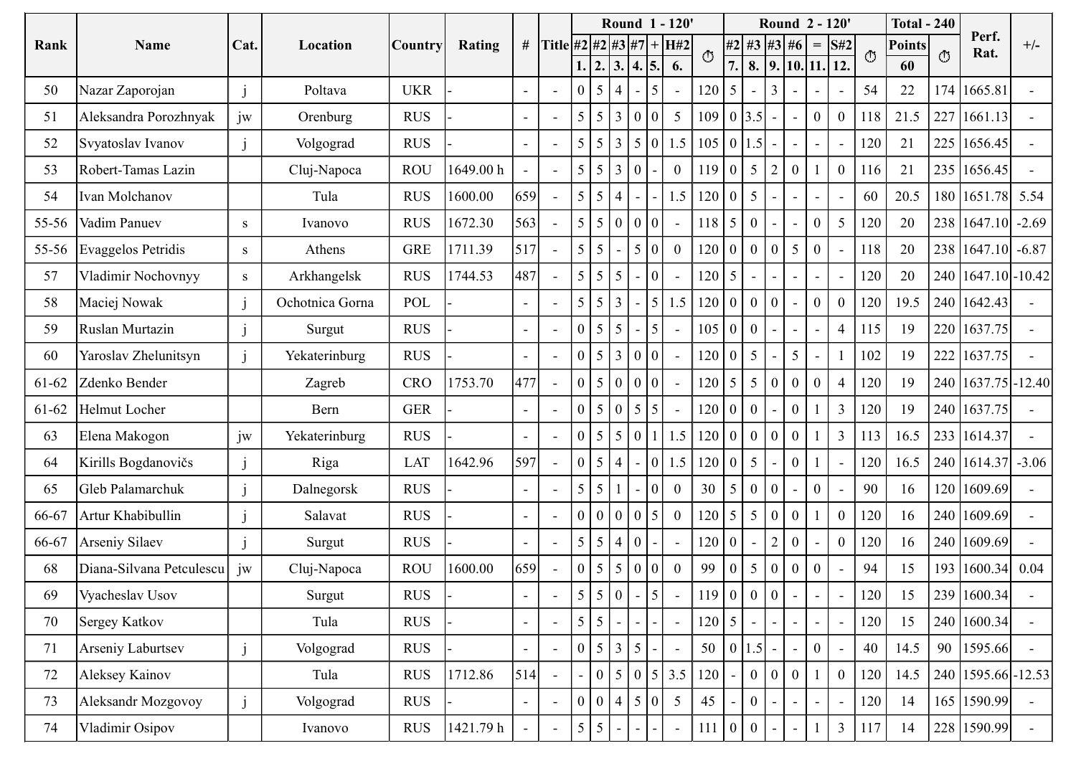| Round 1 - 120'<br>Round 2 - 120'<br><b>Total - 240</b><br>Perf.<br># Title #2 #2 #3 #7 + H#2<br>$#2$ #3 #3 #6<br>Cat.<br>$=$ S#2<br>$+/-$<br>Name<br>Rating<br><b>Points</b><br>Rank<br>Location<br>Country<br>Rat.<br>$\circ$<br>$\circ$<br>O<br>$\overline{7}$ .<br>$\vert 8. \vert 9. \vert 10. \vert 11. \vert 12.$<br>1.  2.  3.  4.  5.<br>6.<br>60<br>174<br>54<br><b>UKR</b><br>$120 \mid 5$<br>3 <sup>1</sup><br>$22\,$<br>1665.81<br>50<br>Nazar Zaporojan<br>Poltava<br>$\Omega$<br>$\overline{5}$<br>$\vert 4 \vert$<br>$\blacksquare$<br>$\sim$<br>$\overline{\phantom{a}}$<br>jw<br>227<br>Aleksandra Porozhnyak<br>$5\overline{)}$<br>$109 \mid 0 \mid 3.5$<br>$\mathbf{0}$<br>118<br>21.5<br>1661.13<br><b>RUS</b><br>5 <sup>5</sup><br>5 3 0 0<br>$\overline{0}$<br>51<br>Orenburg<br>$\sim$<br>$\sim$<br>225<br>$5\overline{)}$<br>5 0 1.5<br>0 1.5<br>120<br>21<br><b>RUS</b><br>$\overline{5}$<br>$\overline{3}$<br>105<br>1656.45<br>52<br>Svyatoslav Ivanov<br>Volgograd<br>$\blacksquare$<br>$\overline{\phantom{a}}$<br>21<br>$5 \mid 5$<br>$\boldsymbol{0}$<br>116<br>235 1656.45<br>1649.00 h<br>$\boldsymbol{0}$<br>53<br>Robert-Tamas Lazin<br><b>ROU</b><br>$\overline{0}$<br>119<br>Cluj-Napoca<br>$\vert 3 \vert 0$<br>5<br>$\sim$<br>659<br>1.5<br>180 1651.78 5.54<br>Tula<br><b>RUS</b><br>1600.00<br>120<br>60<br>20.5<br>54<br>Ivan Molchanov<br>$\pm$ 5 $\pm$<br>$\sim$<br>$\blacksquare$<br>$\blacksquare$<br>563<br>5   5   0   0   0  <br><b>RUS</b><br>$5\overline{)}$<br>120<br>238<br>$1647.10$ -2.69<br>1672.30<br>118<br>20<br>$55-56$<br>Vadim Panuev<br>5<br>$\begin{array}{ c c } \hline 0 \end{array}$<br>$\boldsymbol{0}$<br>Ivanovo<br>S<br>$\sim$<br>$\sim$<br>$\overline{\phantom{a}}$<br>5 <sup>5</sup><br>238<br><b>GRE</b><br>1711.39<br>517<br>$5 \mid 5$<br>118<br>20<br>1647.10<br>$\vert 5 \vert 0 \vert$<br>120<br>$-6.87$<br>55-56<br>Evaggelos Petridis<br>Athens<br>$\bf{0}$<br>$\overline{0}$<br>0<br>$\boldsymbol{0}$<br>S<br>$\overline{\phantom{a}}$<br>$\qquad \qquad -$<br>240 1647.10 - 10.42<br>1744.53<br>Vladimir Nochovnyy<br>Arkhangelsk<br><b>RUS</b><br>487<br>$5 \mid 5 \mid 5 \mid$<br>20<br>$120 \mid 5 \mid$<br>120<br>57<br>$-10$<br>S<br>$\blacksquare$<br>$\sim$<br>$\sim$ .<br>$\blacksquare$<br>$\blacksquare$<br>$\sim$<br>$5 \mid 5 \mid 3 \mid - \mid 5 \mid 1.5$<br>120 0 0 0 <br>$\mathbf{0}$<br>$\mathbf{0}$<br>120<br>19.5<br>240 1642.43<br>58<br>Ochotnica Gorna<br>POL<br>Maciej Nowak<br>$\blacksquare$<br>$\sim$<br>$\sim$ $-$<br><b>RUS</b><br>115<br>19<br>220 1637.75<br>$0 \mid 5 \mid 5 \mid$<br>$105$ 0<br>$\overline{4}$<br>59<br>$\begin{bmatrix} 0 \end{bmatrix}$<br>Ruslan Murtazin<br>5 <sup>1</sup><br>Surgut<br>$\blacksquare$<br>$\sim$<br>5 <sup>5</sup><br>102<br>222 1637.75<br>Yaroslav Zhelunitsyn<br><b>RUS</b><br>$0 \mid 5 \mid 3 \mid 0 \mid 0 \mid$<br>$120$ 0<br>19<br>Yekaterinburg<br>60<br>$5\overline{)}$<br>$\sim$<br>477<br>$\mathbf{0}$<br>120<br>1753.70<br>$0 \mid 5 \mid 0 \mid 0 \mid 0$<br>$120 \mid 5 \mid 5 \mid$<br>19<br>240 1637.75 - 12.40<br>61-62<br>Zdenko Bender<br>CRO<br>Zagreb<br>$\overline{0}$<br>$\boldsymbol{0}$<br>$0 \mid 5 \mid 0 \mid 5 \mid 5$<br>$\overline{0}$<br>120<br>19<br><b>GER</b><br>$120$ 0<br>$\mathfrak{Z}$<br>240 1637.75<br>61-62<br>Helmut Locher<br>Bern<br>$\pm$ 0 $\pm$<br>$\sim$<br>$\sim$<br>$\sim$<br>1.5<br>120   0   0   0<br>233 1614.37<br>jw<br>$0 \mid 5 \mid 5 \mid 0$<br>$\overline{3}$<br><b>RUS</b><br>113<br>16.5<br>Yekaterinburg<br>Elena Makogon<br>63<br>597<br>1642.96<br>$0 \mid 1.5$<br>120<br>240 1614.37 -3.06<br>Kirills Bogdanovičs<br>$120\ 0$<br>$\overline{0}$<br>16.5<br>Riga<br>LAT<br>$\theta$<br>5 4 <br>64<br>$(1.5)^{1}$<br>$\vert 5 \vert 5 \vert 1$<br>$\begin{bmatrix} 0 \\ 0 \end{bmatrix}$<br>90<br>120 1609.69<br><b>RUS</b><br>30<br>16<br>Gleb Palamarchuk<br>Dalnegorsk<br>$\vert 0 \vert$<br>$\mathbf{0}$<br>5 <sup>5</sup><br>$\mathbf{0}$<br>65<br>$\sim$<br>$\overline{0}$<br>120<br>$120 \mid 5$<br>$\boldsymbol{0}$<br><b>RUS</b><br>000005<br>$\overline{0}$<br>16<br>240 1609.69<br>66-67<br>Artur Khabibullin<br>Salavat<br>$\sim$<br>$\boldsymbol{0}$<br>$5 \mid 5 \mid 4 \mid 0$<br>$120$ 0<br>$\overline{0}$<br>120<br>240 1609.69<br><b>RUS</b><br>16<br>66-67<br>Arseniy Silaev<br>Surgut<br>659<br>1600.00<br>99<br>94<br>193 1600.34 0.04<br>Diana-Silvana Petculescu   jw<br><b>ROU</b><br>$\overline{0}$<br>$0 \mid 5 \mid 5$<br>$\mathbf{0}$<br>15<br>Cluj-Napoca<br> 0 0 <br>$\overline{0}$<br>68<br>5 <sup>5</sup><br>$\bf{0}$<br>5 5 0 <br>$119$ 0 0 0 0<br>120<br>239 1600.34<br><b>RUS</b><br>15<br>69<br>Vyacheslav Usov<br>Surgut<br>5<br>$\blacksquare$<br>$5 \mid 5$<br>$120 \mid 5$<br>120<br>15<br>240 1600.34<br><b>RUS</b><br>70<br>Sergey Katkov<br>Tula<br>$\blacksquare$<br>$\sim$<br>$\sim$<br>50<br>0 1.5 <br>90 1595.66<br>$0 \mid 5 \mid 3 \mid 5$<br>$\mathbf{0}$<br>40<br>14.5<br>71<br>Arseniy Laburtsev<br><b>RUS</b><br>Volgograd<br>$\blacksquare$<br>$\sim$<br>514<br>$\mathbf{0}$<br>RUS<br>1712.86<br>$5 \mid 3.5$<br>$\overline{0}$<br>$\overline{0}$<br>14.5<br>240 1595.66 - 12.53<br>72<br>Aleksey Kainov<br>Tula<br>$\begin{bmatrix} 0 & 5 & 0 \end{bmatrix}$<br>120<br>120<br>$\overline{0}$<br>$\overline{a}$<br>0   0   4   5   0<br>$5\overline{)}$<br>45<br>120<br>165<br>1590.99<br>73<br>14<br>Aleksandr Mozgovoy<br><b>RUS</b><br>$\overline{0}$<br>Volgograd<br>$\sim$<br>$\blacksquare$<br>$\sim$ $-$<br>$\sim$<br>5 5 <br>$\mathbf{3}$<br>228<br>1590.99<br>RUS<br>1421.79 h<br>117<br>74<br>111<br>14<br>Vladimir Osipov<br>$\overline{0}$<br>Ivanovo<br>$\sim$<br>$\sim$ |  |  |  |  |  |  |  |  |  |  |  |  |
|------------------------------------------------------------------------------------------------------------------------------------------------------------------------------------------------------------------------------------------------------------------------------------------------------------------------------------------------------------------------------------------------------------------------------------------------------------------------------------------------------------------------------------------------------------------------------------------------------------------------------------------------------------------------------------------------------------------------------------------------------------------------------------------------------------------------------------------------------------------------------------------------------------------------------------------------------------------------------------------------------------------------------------------------------------------------------------------------------------------------------------------------------------------------------------------------------------------------------------------------------------------------------------------------------------------------------------------------------------------------------------------------------------------------------------------------------------------------------------------------------------------------------------------------------------------------------------------------------------------------------------------------------------------------------------------------------------------------------------------------------------------------------------------------------------------------------------------------------------------------------------------------------------------------------------------------------------------------------------------------------------------------------------------------------------------------------------------------------------------------------------------------------------------------------------------------------------------------------------------------------------------------------------------------------------------------------------------------------------------------------------------------------------------------------------------------------------------------------------------------------------------------------------------------------------------------------------------------------------------------------------------------------------------------------------------------------------------------------------------------------------------------------------------------------------------------------------------------------------------------------------------------------------------------------------------------------------------------------------------------------------------------------------------------------------------------------------------------------------------------------------------------------------------------------------------------------------------------------------------------------------------------------------------------------------------------------------------------------------------------------------------------------------------------------------------------------------------------------------------------------------------------------------------------------------------------------------------------------------------------------------------------------------------------------------------------------------------------------------------------------------------------------------------------------------------------------------------------------------------------------------------------------------------------------------------------------------------------------------------------------------------------------------------------------------------------------------------------------------------------------------------------------------------------------------------------------------------------------------------------------------------------------------------------------------------------------------------------------------------------------------------------------------------------------------------------------------------------------------------------------------------------------------------------------------------------------------------------------------------------------------------------------------------------------------------------------------------------------------------------------------------------------------------------------------------------------------------------------------------------------------------------------------------------------------------------------------------------------------------------------------------------------------------------------------------------------------------------------------------------------------------------------------------------------------------------------------------------------------------------------------------------------------------------------------------------------------------------------------------------------------------------------------------------------------------------------------------------------------------------------------------------------------------------------------------------------------------------------------------------------------------------------------------------|--|--|--|--|--|--|--|--|--|--|--|--|
|                                                                                                                                                                                                                                                                                                                                                                                                                                                                                                                                                                                                                                                                                                                                                                                                                                                                                                                                                                                                                                                                                                                                                                                                                                                                                                                                                                                                                                                                                                                                                                                                                                                                                                                                                                                                                                                                                                                                                                                                                                                                                                                                                                                                                                                                                                                                                                                                                                                                                                                                                                                                                                                                                                                                                                                                                                                                                                                                                                                                                                                                                                                                                                                                                                                                                                                                                                                                                                                                                                                                                                                                                                                                                                                                                                                                                                                                                                                                                                                                                                                                                                                                                                                                                                                                                                                                                                                                                                                                                                                                                                                                                                                                                                                                                                                                                                                                                                                                                                                                                                                                                                                                                                                                                                                                                                                                                                                                                                                                                                                                                                                                                                                                        |  |  |  |  |  |  |  |  |  |  |  |  |
|                                                                                                                                                                                                                                                                                                                                                                                                                                                                                                                                                                                                                                                                                                                                                                                                                                                                                                                                                                                                                                                                                                                                                                                                                                                                                                                                                                                                                                                                                                                                                                                                                                                                                                                                                                                                                                                                                                                                                                                                                                                                                                                                                                                                                                                                                                                                                                                                                                                                                                                                                                                                                                                                                                                                                                                                                                                                                                                                                                                                                                                                                                                                                                                                                                                                                                                                                                                                                                                                                                                                                                                                                                                                                                                                                                                                                                                                                                                                                                                                                                                                                                                                                                                                                                                                                                                                                                                                                                                                                                                                                                                                                                                                                                                                                                                                                                                                                                                                                                                                                                                                                                                                                                                                                                                                                                                                                                                                                                                                                                                                                                                                                                                                        |  |  |  |  |  |  |  |  |  |  |  |  |
|                                                                                                                                                                                                                                                                                                                                                                                                                                                                                                                                                                                                                                                                                                                                                                                                                                                                                                                                                                                                                                                                                                                                                                                                                                                                                                                                                                                                                                                                                                                                                                                                                                                                                                                                                                                                                                                                                                                                                                                                                                                                                                                                                                                                                                                                                                                                                                                                                                                                                                                                                                                                                                                                                                                                                                                                                                                                                                                                                                                                                                                                                                                                                                                                                                                                                                                                                                                                                                                                                                                                                                                                                                                                                                                                                                                                                                                                                                                                                                                                                                                                                                                                                                                                                                                                                                                                                                                                                                                                                                                                                                                                                                                                                                                                                                                                                                                                                                                                                                                                                                                                                                                                                                                                                                                                                                                                                                                                                                                                                                                                                                                                                                                                        |  |  |  |  |  |  |  |  |  |  |  |  |
|                                                                                                                                                                                                                                                                                                                                                                                                                                                                                                                                                                                                                                                                                                                                                                                                                                                                                                                                                                                                                                                                                                                                                                                                                                                                                                                                                                                                                                                                                                                                                                                                                                                                                                                                                                                                                                                                                                                                                                                                                                                                                                                                                                                                                                                                                                                                                                                                                                                                                                                                                                                                                                                                                                                                                                                                                                                                                                                                                                                                                                                                                                                                                                                                                                                                                                                                                                                                                                                                                                                                                                                                                                                                                                                                                                                                                                                                                                                                                                                                                                                                                                                                                                                                                                                                                                                                                                                                                                                                                                                                                                                                                                                                                                                                                                                                                                                                                                                                                                                                                                                                                                                                                                                                                                                                                                                                                                                                                                                                                                                                                                                                                                                                        |  |  |  |  |  |  |  |  |  |  |  |  |
|                                                                                                                                                                                                                                                                                                                                                                                                                                                                                                                                                                                                                                                                                                                                                                                                                                                                                                                                                                                                                                                                                                                                                                                                                                                                                                                                                                                                                                                                                                                                                                                                                                                                                                                                                                                                                                                                                                                                                                                                                                                                                                                                                                                                                                                                                                                                                                                                                                                                                                                                                                                                                                                                                                                                                                                                                                                                                                                                                                                                                                                                                                                                                                                                                                                                                                                                                                                                                                                                                                                                                                                                                                                                                                                                                                                                                                                                                                                                                                                                                                                                                                                                                                                                                                                                                                                                                                                                                                                                                                                                                                                                                                                                                                                                                                                                                                                                                                                                                                                                                                                                                                                                                                                                                                                                                                                                                                                                                                                                                                                                                                                                                                                                        |  |  |  |  |  |  |  |  |  |  |  |  |
|                                                                                                                                                                                                                                                                                                                                                                                                                                                                                                                                                                                                                                                                                                                                                                                                                                                                                                                                                                                                                                                                                                                                                                                                                                                                                                                                                                                                                                                                                                                                                                                                                                                                                                                                                                                                                                                                                                                                                                                                                                                                                                                                                                                                                                                                                                                                                                                                                                                                                                                                                                                                                                                                                                                                                                                                                                                                                                                                                                                                                                                                                                                                                                                                                                                                                                                                                                                                                                                                                                                                                                                                                                                                                                                                                                                                                                                                                                                                                                                                                                                                                                                                                                                                                                                                                                                                                                                                                                                                                                                                                                                                                                                                                                                                                                                                                                                                                                                                                                                                                                                                                                                                                                                                                                                                                                                                                                                                                                                                                                                                                                                                                                                                        |  |  |  |  |  |  |  |  |  |  |  |  |
|                                                                                                                                                                                                                                                                                                                                                                                                                                                                                                                                                                                                                                                                                                                                                                                                                                                                                                                                                                                                                                                                                                                                                                                                                                                                                                                                                                                                                                                                                                                                                                                                                                                                                                                                                                                                                                                                                                                                                                                                                                                                                                                                                                                                                                                                                                                                                                                                                                                                                                                                                                                                                                                                                                                                                                                                                                                                                                                                                                                                                                                                                                                                                                                                                                                                                                                                                                                                                                                                                                                                                                                                                                                                                                                                                                                                                                                                                                                                                                                                                                                                                                                                                                                                                                                                                                                                                                                                                                                                                                                                                                                                                                                                                                                                                                                                                                                                                                                                                                                                                                                                                                                                                                                                                                                                                                                                                                                                                                                                                                                                                                                                                                                                        |  |  |  |  |  |  |  |  |  |  |  |  |
|                                                                                                                                                                                                                                                                                                                                                                                                                                                                                                                                                                                                                                                                                                                                                                                                                                                                                                                                                                                                                                                                                                                                                                                                                                                                                                                                                                                                                                                                                                                                                                                                                                                                                                                                                                                                                                                                                                                                                                                                                                                                                                                                                                                                                                                                                                                                                                                                                                                                                                                                                                                                                                                                                                                                                                                                                                                                                                                                                                                                                                                                                                                                                                                                                                                                                                                                                                                                                                                                                                                                                                                                                                                                                                                                                                                                                                                                                                                                                                                                                                                                                                                                                                                                                                                                                                                                                                                                                                                                                                                                                                                                                                                                                                                                                                                                                                                                                                                                                                                                                                                                                                                                                                                                                                                                                                                                                                                                                                                                                                                                                                                                                                                                        |  |  |  |  |  |  |  |  |  |  |  |  |
|                                                                                                                                                                                                                                                                                                                                                                                                                                                                                                                                                                                                                                                                                                                                                                                                                                                                                                                                                                                                                                                                                                                                                                                                                                                                                                                                                                                                                                                                                                                                                                                                                                                                                                                                                                                                                                                                                                                                                                                                                                                                                                                                                                                                                                                                                                                                                                                                                                                                                                                                                                                                                                                                                                                                                                                                                                                                                                                                                                                                                                                                                                                                                                                                                                                                                                                                                                                                                                                                                                                                                                                                                                                                                                                                                                                                                                                                                                                                                                                                                                                                                                                                                                                                                                                                                                                                                                                                                                                                                                                                                                                                                                                                                                                                                                                                                                                                                                                                                                                                                                                                                                                                                                                                                                                                                                                                                                                                                                                                                                                                                                                                                                                                        |  |  |  |  |  |  |  |  |  |  |  |  |
|                                                                                                                                                                                                                                                                                                                                                                                                                                                                                                                                                                                                                                                                                                                                                                                                                                                                                                                                                                                                                                                                                                                                                                                                                                                                                                                                                                                                                                                                                                                                                                                                                                                                                                                                                                                                                                                                                                                                                                                                                                                                                                                                                                                                                                                                                                                                                                                                                                                                                                                                                                                                                                                                                                                                                                                                                                                                                                                                                                                                                                                                                                                                                                                                                                                                                                                                                                                                                                                                                                                                                                                                                                                                                                                                                                                                                                                                                                                                                                                                                                                                                                                                                                                                                                                                                                                                                                                                                                                                                                                                                                                                                                                                                                                                                                                                                                                                                                                                                                                                                                                                                                                                                                                                                                                                                                                                                                                                                                                                                                                                                                                                                                                                        |  |  |  |  |  |  |  |  |  |  |  |  |
|                                                                                                                                                                                                                                                                                                                                                                                                                                                                                                                                                                                                                                                                                                                                                                                                                                                                                                                                                                                                                                                                                                                                                                                                                                                                                                                                                                                                                                                                                                                                                                                                                                                                                                                                                                                                                                                                                                                                                                                                                                                                                                                                                                                                                                                                                                                                                                                                                                                                                                                                                                                                                                                                                                                                                                                                                                                                                                                                                                                                                                                                                                                                                                                                                                                                                                                                                                                                                                                                                                                                                                                                                                                                                                                                                                                                                                                                                                                                                                                                                                                                                                                                                                                                                                                                                                                                                                                                                                                                                                                                                                                                                                                                                                                                                                                                                                                                                                                                                                                                                                                                                                                                                                                                                                                                                                                                                                                                                                                                                                                                                                                                                                                                        |  |  |  |  |  |  |  |  |  |  |  |  |
|                                                                                                                                                                                                                                                                                                                                                                                                                                                                                                                                                                                                                                                                                                                                                                                                                                                                                                                                                                                                                                                                                                                                                                                                                                                                                                                                                                                                                                                                                                                                                                                                                                                                                                                                                                                                                                                                                                                                                                                                                                                                                                                                                                                                                                                                                                                                                                                                                                                                                                                                                                                                                                                                                                                                                                                                                                                                                                                                                                                                                                                                                                                                                                                                                                                                                                                                                                                                                                                                                                                                                                                                                                                                                                                                                                                                                                                                                                                                                                                                                                                                                                                                                                                                                                                                                                                                                                                                                                                                                                                                                                                                                                                                                                                                                                                                                                                                                                                                                                                                                                                                                                                                                                                                                                                                                                                                                                                                                                                                                                                                                                                                                                                                        |  |  |  |  |  |  |  |  |  |  |  |  |
|                                                                                                                                                                                                                                                                                                                                                                                                                                                                                                                                                                                                                                                                                                                                                                                                                                                                                                                                                                                                                                                                                                                                                                                                                                                                                                                                                                                                                                                                                                                                                                                                                                                                                                                                                                                                                                                                                                                                                                                                                                                                                                                                                                                                                                                                                                                                                                                                                                                                                                                                                                                                                                                                                                                                                                                                                                                                                                                                                                                                                                                                                                                                                                                                                                                                                                                                                                                                                                                                                                                                                                                                                                                                                                                                                                                                                                                                                                                                                                                                                                                                                                                                                                                                                                                                                                                                                                                                                                                                                                                                                                                                                                                                                                                                                                                                                                                                                                                                                                                                                                                                                                                                                                                                                                                                                                                                                                                                                                                                                                                                                                                                                                                                        |  |  |  |  |  |  |  |  |  |  |  |  |
|                                                                                                                                                                                                                                                                                                                                                                                                                                                                                                                                                                                                                                                                                                                                                                                                                                                                                                                                                                                                                                                                                                                                                                                                                                                                                                                                                                                                                                                                                                                                                                                                                                                                                                                                                                                                                                                                                                                                                                                                                                                                                                                                                                                                                                                                                                                                                                                                                                                                                                                                                                                                                                                                                                                                                                                                                                                                                                                                                                                                                                                                                                                                                                                                                                                                                                                                                                                                                                                                                                                                                                                                                                                                                                                                                                                                                                                                                                                                                                                                                                                                                                                                                                                                                                                                                                                                                                                                                                                                                                                                                                                                                                                                                                                                                                                                                                                                                                                                                                                                                                                                                                                                                                                                                                                                                                                                                                                                                                                                                                                                                                                                                                                                        |  |  |  |  |  |  |  |  |  |  |  |  |
|                                                                                                                                                                                                                                                                                                                                                                                                                                                                                                                                                                                                                                                                                                                                                                                                                                                                                                                                                                                                                                                                                                                                                                                                                                                                                                                                                                                                                                                                                                                                                                                                                                                                                                                                                                                                                                                                                                                                                                                                                                                                                                                                                                                                                                                                                                                                                                                                                                                                                                                                                                                                                                                                                                                                                                                                                                                                                                                                                                                                                                                                                                                                                                                                                                                                                                                                                                                                                                                                                                                                                                                                                                                                                                                                                                                                                                                                                                                                                                                                                                                                                                                                                                                                                                                                                                                                                                                                                                                                                                                                                                                                                                                                                                                                                                                                                                                                                                                                                                                                                                                                                                                                                                                                                                                                                                                                                                                                                                                                                                                                                                                                                                                                        |  |  |  |  |  |  |  |  |  |  |  |  |
|                                                                                                                                                                                                                                                                                                                                                                                                                                                                                                                                                                                                                                                                                                                                                                                                                                                                                                                                                                                                                                                                                                                                                                                                                                                                                                                                                                                                                                                                                                                                                                                                                                                                                                                                                                                                                                                                                                                                                                                                                                                                                                                                                                                                                                                                                                                                                                                                                                                                                                                                                                                                                                                                                                                                                                                                                                                                                                                                                                                                                                                                                                                                                                                                                                                                                                                                                                                                                                                                                                                                                                                                                                                                                                                                                                                                                                                                                                                                                                                                                                                                                                                                                                                                                                                                                                                                                                                                                                                                                                                                                                                                                                                                                                                                                                                                                                                                                                                                                                                                                                                                                                                                                                                                                                                                                                                                                                                                                                                                                                                                                                                                                                                                        |  |  |  |  |  |  |  |  |  |  |  |  |
|                                                                                                                                                                                                                                                                                                                                                                                                                                                                                                                                                                                                                                                                                                                                                                                                                                                                                                                                                                                                                                                                                                                                                                                                                                                                                                                                                                                                                                                                                                                                                                                                                                                                                                                                                                                                                                                                                                                                                                                                                                                                                                                                                                                                                                                                                                                                                                                                                                                                                                                                                                                                                                                                                                                                                                                                                                                                                                                                                                                                                                                                                                                                                                                                                                                                                                                                                                                                                                                                                                                                                                                                                                                                                                                                                                                                                                                                                                                                                                                                                                                                                                                                                                                                                                                                                                                                                                                                                                                                                                                                                                                                                                                                                                                                                                                                                                                                                                                                                                                                                                                                                                                                                                                                                                                                                                                                                                                                                                                                                                                                                                                                                                                                        |  |  |  |  |  |  |  |  |  |  |  |  |
|                                                                                                                                                                                                                                                                                                                                                                                                                                                                                                                                                                                                                                                                                                                                                                                                                                                                                                                                                                                                                                                                                                                                                                                                                                                                                                                                                                                                                                                                                                                                                                                                                                                                                                                                                                                                                                                                                                                                                                                                                                                                                                                                                                                                                                                                                                                                                                                                                                                                                                                                                                                                                                                                                                                                                                                                                                                                                                                                                                                                                                                                                                                                                                                                                                                                                                                                                                                                                                                                                                                                                                                                                                                                                                                                                                                                                                                                                                                                                                                                                                                                                                                                                                                                                                                                                                                                                                                                                                                                                                                                                                                                                                                                                                                                                                                                                                                                                                                                                                                                                                                                                                                                                                                                                                                                                                                                                                                                                                                                                                                                                                                                                                                                        |  |  |  |  |  |  |  |  |  |  |  |  |
|                                                                                                                                                                                                                                                                                                                                                                                                                                                                                                                                                                                                                                                                                                                                                                                                                                                                                                                                                                                                                                                                                                                                                                                                                                                                                                                                                                                                                                                                                                                                                                                                                                                                                                                                                                                                                                                                                                                                                                                                                                                                                                                                                                                                                                                                                                                                                                                                                                                                                                                                                                                                                                                                                                                                                                                                                                                                                                                                                                                                                                                                                                                                                                                                                                                                                                                                                                                                                                                                                                                                                                                                                                                                                                                                                                                                                                                                                                                                                                                                                                                                                                                                                                                                                                                                                                                                                                                                                                                                                                                                                                                                                                                                                                                                                                                                                                                                                                                                                                                                                                                                                                                                                                                                                                                                                                                                                                                                                                                                                                                                                                                                                                                                        |  |  |  |  |  |  |  |  |  |  |  |  |
|                                                                                                                                                                                                                                                                                                                                                                                                                                                                                                                                                                                                                                                                                                                                                                                                                                                                                                                                                                                                                                                                                                                                                                                                                                                                                                                                                                                                                                                                                                                                                                                                                                                                                                                                                                                                                                                                                                                                                                                                                                                                                                                                                                                                                                                                                                                                                                                                                                                                                                                                                                                                                                                                                                                                                                                                                                                                                                                                                                                                                                                                                                                                                                                                                                                                                                                                                                                                                                                                                                                                                                                                                                                                                                                                                                                                                                                                                                                                                                                                                                                                                                                                                                                                                                                                                                                                                                                                                                                                                                                                                                                                                                                                                                                                                                                                                                                                                                                                                                                                                                                                                                                                                                                                                                                                                                                                                                                                                                                                                                                                                                                                                                                                        |  |  |  |  |  |  |  |  |  |  |  |  |
|                                                                                                                                                                                                                                                                                                                                                                                                                                                                                                                                                                                                                                                                                                                                                                                                                                                                                                                                                                                                                                                                                                                                                                                                                                                                                                                                                                                                                                                                                                                                                                                                                                                                                                                                                                                                                                                                                                                                                                                                                                                                                                                                                                                                                                                                                                                                                                                                                                                                                                                                                                                                                                                                                                                                                                                                                                                                                                                                                                                                                                                                                                                                                                                                                                                                                                                                                                                                                                                                                                                                                                                                                                                                                                                                                                                                                                                                                                                                                                                                                                                                                                                                                                                                                                                                                                                                                                                                                                                                                                                                                                                                                                                                                                                                                                                                                                                                                                                                                                                                                                                                                                                                                                                                                                                                                                                                                                                                                                                                                                                                                                                                                                                                        |  |  |  |  |  |  |  |  |  |  |  |  |
|                                                                                                                                                                                                                                                                                                                                                                                                                                                                                                                                                                                                                                                                                                                                                                                                                                                                                                                                                                                                                                                                                                                                                                                                                                                                                                                                                                                                                                                                                                                                                                                                                                                                                                                                                                                                                                                                                                                                                                                                                                                                                                                                                                                                                                                                                                                                                                                                                                                                                                                                                                                                                                                                                                                                                                                                                                                                                                                                                                                                                                                                                                                                                                                                                                                                                                                                                                                                                                                                                                                                                                                                                                                                                                                                                                                                                                                                                                                                                                                                                                                                                                                                                                                                                                                                                                                                                                                                                                                                                                                                                                                                                                                                                                                                                                                                                                                                                                                                                                                                                                                                                                                                                                                                                                                                                                                                                                                                                                                                                                                                                                                                                                                                        |  |  |  |  |  |  |  |  |  |  |  |  |
|                                                                                                                                                                                                                                                                                                                                                                                                                                                                                                                                                                                                                                                                                                                                                                                                                                                                                                                                                                                                                                                                                                                                                                                                                                                                                                                                                                                                                                                                                                                                                                                                                                                                                                                                                                                                                                                                                                                                                                                                                                                                                                                                                                                                                                                                                                                                                                                                                                                                                                                                                                                                                                                                                                                                                                                                                                                                                                                                                                                                                                                                                                                                                                                                                                                                                                                                                                                                                                                                                                                                                                                                                                                                                                                                                                                                                                                                                                                                                                                                                                                                                                                                                                                                                                                                                                                                                                                                                                                                                                                                                                                                                                                                                                                                                                                                                                                                                                                                                                                                                                                                                                                                                                                                                                                                                                                                                                                                                                                                                                                                                                                                                                                                        |  |  |  |  |  |  |  |  |  |  |  |  |
|                                                                                                                                                                                                                                                                                                                                                                                                                                                                                                                                                                                                                                                                                                                                                                                                                                                                                                                                                                                                                                                                                                                                                                                                                                                                                                                                                                                                                                                                                                                                                                                                                                                                                                                                                                                                                                                                                                                                                                                                                                                                                                                                                                                                                                                                                                                                                                                                                                                                                                                                                                                                                                                                                                                                                                                                                                                                                                                                                                                                                                                                                                                                                                                                                                                                                                                                                                                                                                                                                                                                                                                                                                                                                                                                                                                                                                                                                                                                                                                                                                                                                                                                                                                                                                                                                                                                                                                                                                                                                                                                                                                                                                                                                                                                                                                                                                                                                                                                                                                                                                                                                                                                                                                                                                                                                                                                                                                                                                                                                                                                                                                                                                                                        |  |  |  |  |  |  |  |  |  |  |  |  |
|                                                                                                                                                                                                                                                                                                                                                                                                                                                                                                                                                                                                                                                                                                                                                                                                                                                                                                                                                                                                                                                                                                                                                                                                                                                                                                                                                                                                                                                                                                                                                                                                                                                                                                                                                                                                                                                                                                                                                                                                                                                                                                                                                                                                                                                                                                                                                                                                                                                                                                                                                                                                                                                                                                                                                                                                                                                                                                                                                                                                                                                                                                                                                                                                                                                                                                                                                                                                                                                                                                                                                                                                                                                                                                                                                                                                                                                                                                                                                                                                                                                                                                                                                                                                                                                                                                                                                                                                                                                                                                                                                                                                                                                                                                                                                                                                                                                                                                                                                                                                                                                                                                                                                                                                                                                                                                                                                                                                                                                                                                                                                                                                                                                                        |  |  |  |  |  |  |  |  |  |  |  |  |
|                                                                                                                                                                                                                                                                                                                                                                                                                                                                                                                                                                                                                                                                                                                                                                                                                                                                                                                                                                                                                                                                                                                                                                                                                                                                                                                                                                                                                                                                                                                                                                                                                                                                                                                                                                                                                                                                                                                                                                                                                                                                                                                                                                                                                                                                                                                                                                                                                                                                                                                                                                                                                                                                                                                                                                                                                                                                                                                                                                                                                                                                                                                                                                                                                                                                                                                                                                                                                                                                                                                                                                                                                                                                                                                                                                                                                                                                                                                                                                                                                                                                                                                                                                                                                                                                                                                                                                                                                                                                                                                                                                                                                                                                                                                                                                                                                                                                                                                                                                                                                                                                                                                                                                                                                                                                                                                                                                                                                                                                                                                                                                                                                                                                        |  |  |  |  |  |  |  |  |  |  |  |  |
|                                                                                                                                                                                                                                                                                                                                                                                                                                                                                                                                                                                                                                                                                                                                                                                                                                                                                                                                                                                                                                                                                                                                                                                                                                                                                                                                                                                                                                                                                                                                                                                                                                                                                                                                                                                                                                                                                                                                                                                                                                                                                                                                                                                                                                                                                                                                                                                                                                                                                                                                                                                                                                                                                                                                                                                                                                                                                                                                                                                                                                                                                                                                                                                                                                                                                                                                                                                                                                                                                                                                                                                                                                                                                                                                                                                                                                                                                                                                                                                                                                                                                                                                                                                                                                                                                                                                                                                                                                                                                                                                                                                                                                                                                                                                                                                                                                                                                                                                                                                                                                                                                                                                                                                                                                                                                                                                                                                                                                                                                                                                                                                                                                                                        |  |  |  |  |  |  |  |  |  |  |  |  |
|                                                                                                                                                                                                                                                                                                                                                                                                                                                                                                                                                                                                                                                                                                                                                                                                                                                                                                                                                                                                                                                                                                                                                                                                                                                                                                                                                                                                                                                                                                                                                                                                                                                                                                                                                                                                                                                                                                                                                                                                                                                                                                                                                                                                                                                                                                                                                                                                                                                                                                                                                                                                                                                                                                                                                                                                                                                                                                                                                                                                                                                                                                                                                                                                                                                                                                                                                                                                                                                                                                                                                                                                                                                                                                                                                                                                                                                                                                                                                                                                                                                                                                                                                                                                                                                                                                                                                                                                                                                                                                                                                                                                                                                                                                                                                                                                                                                                                                                                                                                                                                                                                                                                                                                                                                                                                                                                                                                                                                                                                                                                                                                                                                                                        |  |  |  |  |  |  |  |  |  |  |  |  |
|                                                                                                                                                                                                                                                                                                                                                                                                                                                                                                                                                                                                                                                                                                                                                                                                                                                                                                                                                                                                                                                                                                                                                                                                                                                                                                                                                                                                                                                                                                                                                                                                                                                                                                                                                                                                                                                                                                                                                                                                                                                                                                                                                                                                                                                                                                                                                                                                                                                                                                                                                                                                                                                                                                                                                                                                                                                                                                                                                                                                                                                                                                                                                                                                                                                                                                                                                                                                                                                                                                                                                                                                                                                                                                                                                                                                                                                                                                                                                                                                                                                                                                                                                                                                                                                                                                                                                                                                                                                                                                                                                                                                                                                                                                                                                                                                                                                                                                                                                                                                                                                                                                                                                                                                                                                                                                                                                                                                                                                                                                                                                                                                                                                                        |  |  |  |  |  |  |  |  |  |  |  |  |
|                                                                                                                                                                                                                                                                                                                                                                                                                                                                                                                                                                                                                                                                                                                                                                                                                                                                                                                                                                                                                                                                                                                                                                                                                                                                                                                                                                                                                                                                                                                                                                                                                                                                                                                                                                                                                                                                                                                                                                                                                                                                                                                                                                                                                                                                                                                                                                                                                                                                                                                                                                                                                                                                                                                                                                                                                                                                                                                                                                                                                                                                                                                                                                                                                                                                                                                                                                                                                                                                                                                                                                                                                                                                                                                                                                                                                                                                                                                                                                                                                                                                                                                                                                                                                                                                                                                                                                                                                                                                                                                                                                                                                                                                                                                                                                                                                                                                                                                                                                                                                                                                                                                                                                                                                                                                                                                                                                                                                                                                                                                                                                                                                                                                        |  |  |  |  |  |  |  |  |  |  |  |  |
|                                                                                                                                                                                                                                                                                                                                                                                                                                                                                                                                                                                                                                                                                                                                                                                                                                                                                                                                                                                                                                                                                                                                                                                                                                                                                                                                                                                                                                                                                                                                                                                                                                                                                                                                                                                                                                                                                                                                                                                                                                                                                                                                                                                                                                                                                                                                                                                                                                                                                                                                                                                                                                                                                                                                                                                                                                                                                                                                                                                                                                                                                                                                                                                                                                                                                                                                                                                                                                                                                                                                                                                                                                                                                                                                                                                                                                                                                                                                                                                                                                                                                                                                                                                                                                                                                                                                                                                                                                                                                                                                                                                                                                                                                                                                                                                                                                                                                                                                                                                                                                                                                                                                                                                                                                                                                                                                                                                                                                                                                                                                                                                                                                                                        |  |  |  |  |  |  |  |  |  |  |  |  |
|                                                                                                                                                                                                                                                                                                                                                                                                                                                                                                                                                                                                                                                                                                                                                                                                                                                                                                                                                                                                                                                                                                                                                                                                                                                                                                                                                                                                                                                                                                                                                                                                                                                                                                                                                                                                                                                                                                                                                                                                                                                                                                                                                                                                                                                                                                                                                                                                                                                                                                                                                                                                                                                                                                                                                                                                                                                                                                                                                                                                                                                                                                                                                                                                                                                                                                                                                                                                                                                                                                                                                                                                                                                                                                                                                                                                                                                                                                                                                                                                                                                                                                                                                                                                                                                                                                                                                                                                                                                                                                                                                                                                                                                                                                                                                                                                                                                                                                                                                                                                                                                                                                                                                                                                                                                                                                                                                                                                                                                                                                                                                                                                                                                                        |  |  |  |  |  |  |  |  |  |  |  |  |
|                                                                                                                                                                                                                                                                                                                                                                                                                                                                                                                                                                                                                                                                                                                                                                                                                                                                                                                                                                                                                                                                                                                                                                                                                                                                                                                                                                                                                                                                                                                                                                                                                                                                                                                                                                                                                                                                                                                                                                                                                                                                                                                                                                                                                                                                                                                                                                                                                                                                                                                                                                                                                                                                                                                                                                                                                                                                                                                                                                                                                                                                                                                                                                                                                                                                                                                                                                                                                                                                                                                                                                                                                                                                                                                                                                                                                                                                                                                                                                                                                                                                                                                                                                                                                                                                                                                                                                                                                                                                                                                                                                                                                                                                                                                                                                                                                                                                                                                                                                                                                                                                                                                                                                                                                                                                                                                                                                                                                                                                                                                                                                                                                                                                        |  |  |  |  |  |  |  |  |  |  |  |  |
|                                                                                                                                                                                                                                                                                                                                                                                                                                                                                                                                                                                                                                                                                                                                                                                                                                                                                                                                                                                                                                                                                                                                                                                                                                                                                                                                                                                                                                                                                                                                                                                                                                                                                                                                                                                                                                                                                                                                                                                                                                                                                                                                                                                                                                                                                                                                                                                                                                                                                                                                                                                                                                                                                                                                                                                                                                                                                                                                                                                                                                                                                                                                                                                                                                                                                                                                                                                                                                                                                                                                                                                                                                                                                                                                                                                                                                                                                                                                                                                                                                                                                                                                                                                                                                                                                                                                                                                                                                                                                                                                                                                                                                                                                                                                                                                                                                                                                                                                                                                                                                                                                                                                                                                                                                                                                                                                                                                                                                                                                                                                                                                                                                                                        |  |  |  |  |  |  |  |  |  |  |  |  |
|                                                                                                                                                                                                                                                                                                                                                                                                                                                                                                                                                                                                                                                                                                                                                                                                                                                                                                                                                                                                                                                                                                                                                                                                                                                                                                                                                                                                                                                                                                                                                                                                                                                                                                                                                                                                                                                                                                                                                                                                                                                                                                                                                                                                                                                                                                                                                                                                                                                                                                                                                                                                                                                                                                                                                                                                                                                                                                                                                                                                                                                                                                                                                                                                                                                                                                                                                                                                                                                                                                                                                                                                                                                                                                                                                                                                                                                                                                                                                                                                                                                                                                                                                                                                                                                                                                                                                                                                                                                                                                                                                                                                                                                                                                                                                                                                                                                                                                                                                                                                                                                                                                                                                                                                                                                                                                                                                                                                                                                                                                                                                                                                                                                                        |  |  |  |  |  |  |  |  |  |  |  |  |
|                                                                                                                                                                                                                                                                                                                                                                                                                                                                                                                                                                                                                                                                                                                                                                                                                                                                                                                                                                                                                                                                                                                                                                                                                                                                                                                                                                                                                                                                                                                                                                                                                                                                                                                                                                                                                                                                                                                                                                                                                                                                                                                                                                                                                                                                                                                                                                                                                                                                                                                                                                                                                                                                                                                                                                                                                                                                                                                                                                                                                                                                                                                                                                                                                                                                                                                                                                                                                                                                                                                                                                                                                                                                                                                                                                                                                                                                                                                                                                                                                                                                                                                                                                                                                                                                                                                                                                                                                                                                                                                                                                                                                                                                                                                                                                                                                                                                                                                                                                                                                                                                                                                                                                                                                                                                                                                                                                                                                                                                                                                                                                                                                                                                        |  |  |  |  |  |  |  |  |  |  |  |  |
|                                                                                                                                                                                                                                                                                                                                                                                                                                                                                                                                                                                                                                                                                                                                                                                                                                                                                                                                                                                                                                                                                                                                                                                                                                                                                                                                                                                                                                                                                                                                                                                                                                                                                                                                                                                                                                                                                                                                                                                                                                                                                                                                                                                                                                                                                                                                                                                                                                                                                                                                                                                                                                                                                                                                                                                                                                                                                                                                                                                                                                                                                                                                                                                                                                                                                                                                                                                                                                                                                                                                                                                                                                                                                                                                                                                                                                                                                                                                                                                                                                                                                                                                                                                                                                                                                                                                                                                                                                                                                                                                                                                                                                                                                                                                                                                                                                                                                                                                                                                                                                                                                                                                                                                                                                                                                                                                                                                                                                                                                                                                                                                                                                                                        |  |  |  |  |  |  |  |  |  |  |  |  |
|                                                                                                                                                                                                                                                                                                                                                                                                                                                                                                                                                                                                                                                                                                                                                                                                                                                                                                                                                                                                                                                                                                                                                                                                                                                                                                                                                                                                                                                                                                                                                                                                                                                                                                                                                                                                                                                                                                                                                                                                                                                                                                                                                                                                                                                                                                                                                                                                                                                                                                                                                                                                                                                                                                                                                                                                                                                                                                                                                                                                                                                                                                                                                                                                                                                                                                                                                                                                                                                                                                                                                                                                                                                                                                                                                                                                                                                                                                                                                                                                                                                                                                                                                                                                                                                                                                                                                                                                                                                                                                                                                                                                                                                                                                                                                                                                                                                                                                                                                                                                                                                                                                                                                                                                                                                                                                                                                                                                                                                                                                                                                                                                                                                                        |  |  |  |  |  |  |  |  |  |  |  |  |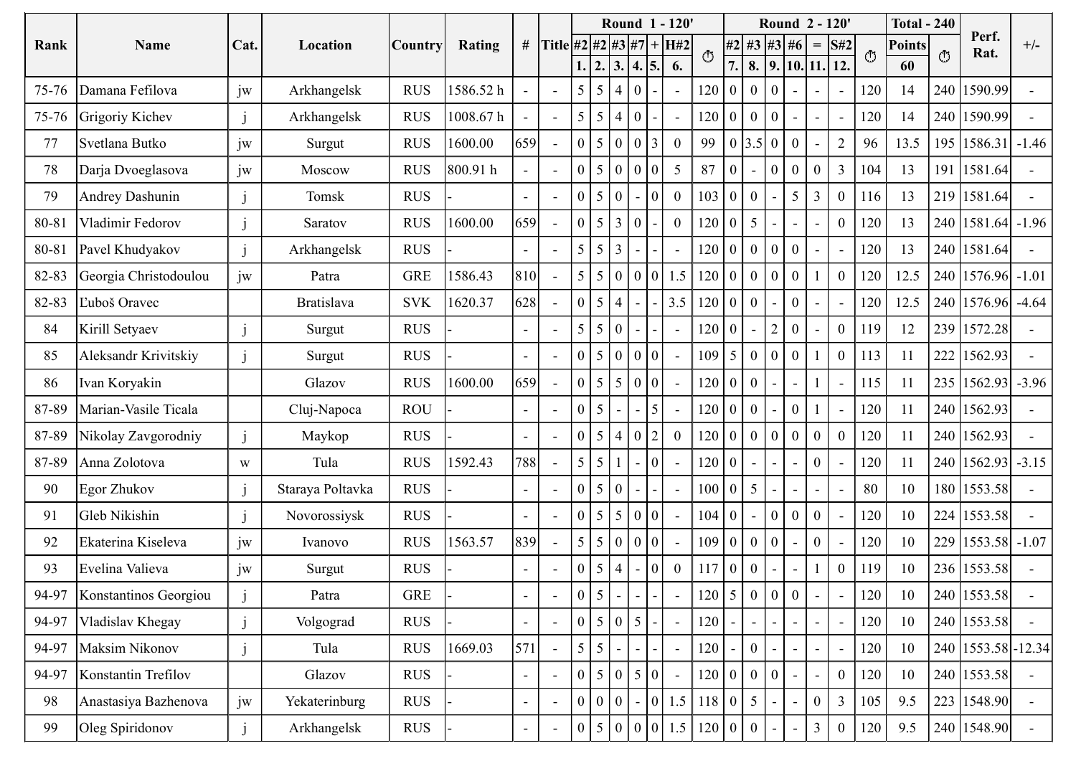| Rank  | Name                   | Cat.    | Location          |             |               |                | # Title #2 #2 #3 #7 + H#2 |                                                 |                 |                   |                 | Round 1 - 120'  |                          |                  |                                  |                | Round 2 - 120'                                                  | $=$ S#2                  |                          |         | <b>Total - 240</b><br><b>Points</b> |         | Perf.                   | $+/-$ |
|-------|------------------------|---------|-------------------|-------------|---------------|----------------|---------------------------|-------------------------------------------------|-----------------|-------------------|-----------------|-----------------|--------------------------|------------------|----------------------------------|----------------|-----------------------------------------------------------------|--------------------------|--------------------------|---------|-------------------------------------|---------|-------------------------|-------|
|       |                        |         |                   | Country     | <b>Rating</b> |                |                           | 1.  2.  3.  4.  5.                              |                 |                   |                 | 6.              | O                        | $\overline{7}$ . |                                  |                | $\#2$ #3 #3 #6<br>$\vert 8. \vert 9. \vert 10. \vert 11. \vert$ |                          | 12.                      | $\circ$ | 60                                  | $\circ$ | Rat.                    |       |
| 75-76 | Damana Fefilova        | jw      | Arkhangelsk       | <b>RUS</b>  | 1586.52 h     |                | $\sim$                    | $5\overline{)}$<br>$\overline{5}$               | $\overline{4}$  | $\overline{0}$    |                 |                 | $120$ 0                  |                  |                                  | $\Omega$       | $\blacksquare$                                                  |                          | $\blacksquare$           | 120     | 14                                  | 240     | 1590.99                 |       |
| 75-76 | Grigoriy Kichev        |         | Arkhangelsk       | <b>RUS</b>  | 1008.67 h     |                | $\sim$                    | 5 <sup>1</sup><br>$\overline{5}$                |                 | $\vert 4 \vert 0$ |                 | $\sim$          | $120$ 0                  |                  | $\begin{array}{c} 0 \end{array}$ |                | $\blacksquare$                                                  |                          | $\overline{\phantom{a}}$ | 120     | 14                                  |         | 240 1590.99             |       |
| 77    | Svetlana Butko         | jw      | Surgut            | <b>RUS</b>  | 1600.00       | 659            | $\sim$                    | $\overline{0}$<br>$\overline{5}$                | $\overline{0}$  | $\vert 0 \vert$   | $\overline{3}$  | $\overline{0}$  | 99                       | 0 3.5            |                                  | $\theta$       | $\boldsymbol{0}$                                                |                          | $\mathbf{2}$             | 96      | 13.5                                | 195     | $1586.31$ -1.46         |       |
| 78    | Darja Dvoeglasova      | jw      | Moscow            | <b>RUS</b>  | 800.91 h      |                | $\sim$                    | $\mathbf{0}$<br>  5                             | $\overline{0}$  | $\vert 0 \vert$   | $\vert 0 \vert$ | $5\overline{)}$ | 87                       | $\overline{0}$   |                                  |                | $\overline{0}$                                                  | $\Omega$                 | $\overline{3}$           | 104     | 13                                  |         | 191 1581.64             |       |
| 79    | <b>Andrey Dashunin</b> |         | Tomsk             | <b>RUS</b>  |               | $\sim$         | $\sim$                    | $\boldsymbol{0}$<br>5 <sup>5</sup>              | $\overline{0}$  |                   | 0               | $\bf{0}$        | $103 \mid 0$             |                  | $\bf{0}$                         |                | 5 <sup>5</sup>                                                  | $\mathfrak{Z}$           | $\overline{0}$           | 116     | 13                                  |         | 219 1581.64             |       |
| 80-81 | Vladimir Fedorov       |         | Saratov           | <b>RUS</b>  | 1600.00       | 659            | $\overline{\phantom{a}}$  | $\overline{0}$<br>$\overline{5}$                | $\overline{3}$  | $\vert 0 \vert$   |                 | $\mathbf{0}$    | 120                      | $\overline{0}$   | $5\overline{)}$                  |                | $\sim$                                                          |                          | $\overline{0}$           | 120     | 13                                  |         | 240 1581.64 -1.96       |       |
| 80-81 | Pavel Khudyakov        |         | Arkhangelsk       | <b>RUS</b>  |               | $\sim$         | $\sim$                    | $\overline{5}$<br>$\overline{5}$                | $\overline{3}$  |                   |                 | $\sim$          | 120                      | 0                | $\theta$                         |                | $\overline{0}$                                                  | $\overline{\phantom{a}}$ | $\overline{\phantom{a}}$ | 120     | 13                                  |         | 240 1581.64             |       |
| 82-83 | Georgia Christodoulou  | jw      | Patra             | ${\tt GRE}$ | 1586.43       | 810            | $\sim$                    | $5   5   0   0   0   1.5   120   0   0   0   0$ |                 |                   |                 |                 |                          |                  |                                  |                |                                                                 | $\mathbf{1}$             | $\overline{0}$           | 120     | 12.5                                |         | $240$   1576.96   -1.01 |       |
| 82-83 | Ľuboš Oravec           |         | <b>Bratislava</b> | SVK         | 1620.37       | 628            |                           | $\vert 0 \vert 5 \vert$                         | $\overline{4}$  | $\sim$            |                 | $-13.5$         | $120 \mid 0 \mid 0$      |                  |                                  |                | $\overline{0}$                                                  | $\sim$                   | $\sim$ .                 | 120     | 12.5                                |         | $240$   1576.96   -4.64 |       |
| 84    | Kirill Setyaev         |         | Surgut            | <b>RUS</b>  |               | $\sim$         | $\sim$                    | $5\overline{)}$                                 | 5 0             |                   |                 |                 | $120$ 0                  |                  |                                  |                | $\overline{0}$                                                  |                          | $\mathbf{0}$             | 119     | 12                                  |         | 239 1572.28             |       |
| 85    | Aleksandr Krivitskiy   |         | Surgut            | <b>RUS</b>  |               |                |                           | $0 \mid 5 \mid 0 \mid 0 \mid 0$                 |                 |                   |                 |                 | $109 \mid 5$             |                  | $\vert 0 \vert$                  |                | $\mathbf{0}$                                                    |                          | $\overline{0}$           | 113     | 11                                  |         | 222 1562.93             |       |
| 86    | Ivan Koryakin          |         | Glazov            | <b>RUS</b>  | 1600.00       | 659            |                           | 0 5                                             |                 | 5 0 0             |                 |                 | $120$ 0                  |                  | $\overline{0}$                   |                | $\omega$                                                        |                          | $\overline{\phantom{a}}$ | 115     | 11                                  |         | $235 1562.93  -3.96$    |       |
| 87-89 | Marian-Vasile Ticala   |         | Cluj-Napoca       | <b>ROU</b>  |               | $\sim$         | $\sim$                    | $\overline{0}$<br>$\overline{5}$                |                 |                   | $\overline{5}$  | $\sim$          | $120$ 0                  |                  | $\begin{array}{c} 0 \end{array}$ |                | $\overline{0}$                                                  |                          | $\blacksquare$           | 120     | 11                                  |         | 240 1562.93             |       |
| 87-89 | Nikolay Zavgorodniy    |         | Maykop            | <b>RUS</b>  |               |                | $\sim$                    | $\overline{0}$<br>$\overline{5}$                |                 | 4 0               | $\vert$ 2       | $\mathbf{0}$    | $120 \mid 0 \mid 0$      |                  |                                  | $\Omega$       | $\overline{0}$                                                  | $\mathbf{0}$             | $\overline{0}$           | 120     | 11                                  |         | 240 1562.93             |       |
| 87-89 | Anna Zolotova          | W       | Tula              | <b>RUS</b>  | 1592.43       | 788            | $\sim$                    | 5 5                                             |                 |                   | 0               |                 | $120$ 0                  |                  | $\sim$                           |                | $\sim$                                                          | $\theta$                 |                          | 120     | 11                                  |         | 240 1562.93 -3.15       |       |
| 90    | Egor Zhukov            |         | Staraya Poltavka  | <b>RUS</b>  |               | $\blacksquare$ | $\sim$                    | $\boldsymbol{0}$                                | 5 0             |                   |                 |                 | $100 \mid 0 \mid 5 \mid$ |                  |                                  |                | $\sim$                                                          |                          | $\overline{\phantom{0}}$ | 80      | 10                                  |         | 180 1553.58             |       |
| 91    | Gleb Nikishin          |         | Novorossiysk      | <b>RUS</b>  |               | $\blacksquare$ | $\sim$                    | $0 \mid 5 \mid 5 \mid 0 \mid 0$                 |                 |                   |                 |                 | $104$ 0                  |                  |                                  |                | $\overline{0}$                                                  | $\mathbf{0}$             |                          | 120     | 10                                  |         | 224 1553.58             |       |
| 92    | Ekaterina Kiseleva     | jw      | Ivanovo           | <b>RUS</b>  | 1563.57       | 839            | $\sim$                    | 5   5   0   0   0                               |                 |                   |                 |                 | $109$ 0 0                |                  |                                  | $\overline{0}$ | $\omega$                                                        | $\mathbf{0}$             |                          | 120     | 10                                  |         | 229 1553.58 -1.07       |       |
| 93    | Evelina Valieva        | $j_{W}$ | Surgut            | <b>RUS</b>  |               |                | $\sim$                    | $\vert 0 \vert$<br>$\overline{5}$               | $\vert 4 \vert$ |                   | 0               | $\overline{0}$  | $117$ 0                  |                  | $\begin{array}{c} 0 \end{array}$ |                |                                                                 |                          | $\overline{0}$           | 119     | 10                                  |         | 236 1553.58             |       |
| 94-97 | Konstantinos Georgiou  |         | Patra             | ${\tt GRE}$ |               | $\sim$         | $\sim$                    | $\mathbf{0}$<br>$\overline{5}$                  |                 |                   |                 |                 | $120 \mid 5$             |                  | $\overline{0}$                   |                | $\mathbf{0}$                                                    |                          | $\blacksquare$           | 120     | 10                                  |         | 240 1553.58             |       |
| 94-97 | Vladislav Khegay       |         | Volgograd         | <b>RUS</b>  |               | $\sim$         | $\sim$                    | $\mathbf{0}$<br>$\overline{5}$                  | $\overline{0}$  | $\overline{5}$    |                 |                 | 120                      |                  |                                  |                | $\sim$                                                          |                          |                          | 120     | 10                                  |         | 240 1553.58             |       |
| 94-97 | Maksim Nikonov         |         | Tula              | <b>RUS</b>  | 1669.03       | 571            | $\sim$                    | $5 \mid 5$                                      |                 |                   |                 |                 | 120                      |                  | $\overline{0}$                   |                | $\sim$                                                          |                          | $\blacksquare$           | 120     | 10                                  |         | 240 1553.58 - 12.34     |       |
| 94-97 | Konstantin Trefilov    |         | Glazov            | <b>RUS</b>  |               | $\sim$ $^{-1}$ | $\sim$                    | $\mathbf{0}$<br>$\overline{5}$                  | $\overline{0}$  | $\overline{5}$    | 0               |                 | $120$ 0                  |                  | $\overline{0}$                   |                | $\mathbf{r}$                                                    |                          | $\overline{0}$           | 120     | 10                                  |         | 240 1553.58             |       |
| 98    | Anastasiya Bazhenova   | jw      | Yekaterinburg     | <b>RUS</b>  |               | $\sim$         | $\sim$                    | 0 0 0                                           |                 |                   |                 | 0 1.5           | $118$ 0 5                |                  |                                  |                | $\blacksquare$                                                  | $\mathbf{0}$             | $\mathfrak{Z}$           | 105     | 9.5                                 |         | 223 1548.90             |       |
| 99    | Oleg Spiridonov        |         | Arkhangelsk       | <b>RUS</b>  |               | $\sim$         | $\sim$                    | $0 \mid 5 \mid 0 \mid 0$                        |                 |                   | 0               | 1.5             | $120$ 0                  |                  | $\overline{0}$                   |                | $\sim$                                                          | $\overline{3}$           | $\overline{0}$           | 120     | 9.5                                 |         | 240 1548.90             |       |
|       |                        |         |                   |             |               |                |                           |                                                 |                 |                   |                 |                 |                          |                  |                                  |                |                                                                 |                          |                          |         |                                     |         |                         |       |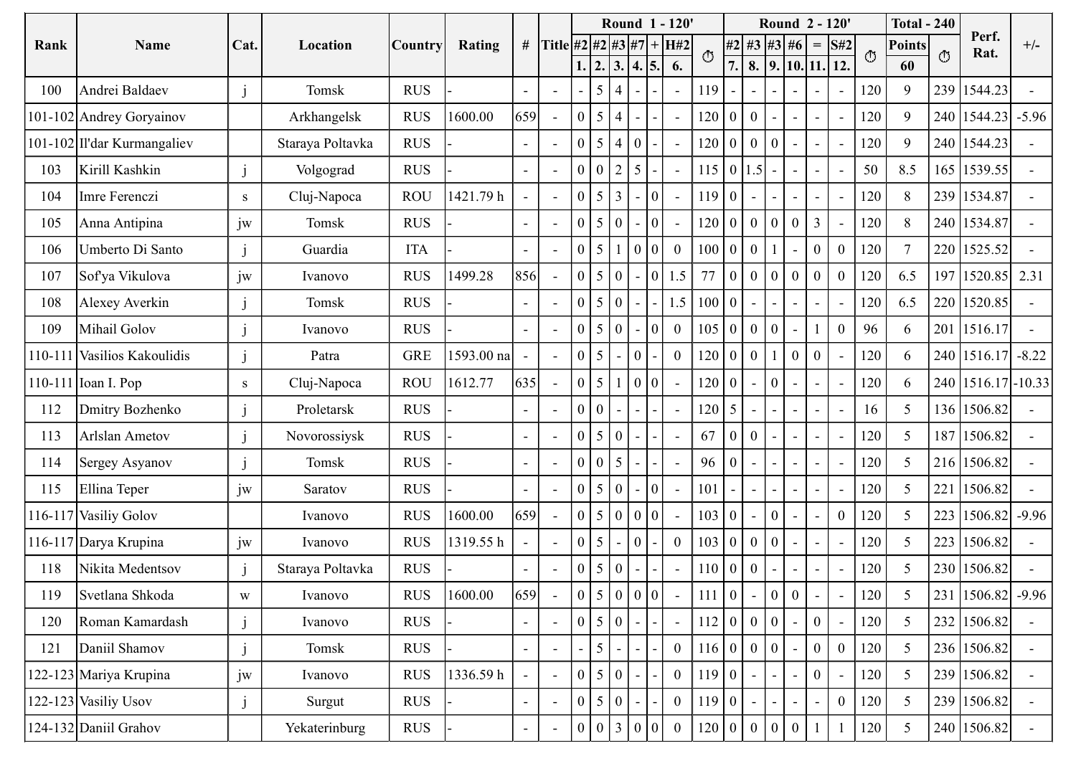|      |                                     |                         |                  |                   |            |                          |                          |                                                              |                   | Round 1 - 120'  |                 |                  |                                         |                                 |                                                                          | Round 2 - 120'   |                                |                          |            | <b>Total - 240</b>  |         |                                  |       |
|------|-------------------------------------|-------------------------|------------------|-------------------|------------|--------------------------|--------------------------|--------------------------------------------------------------|-------------------|-----------------|-----------------|------------------|-----------------------------------------|---------------------------------|--------------------------------------------------------------------------|------------------|--------------------------------|--------------------------|------------|---------------------|---------|----------------------------------|-------|
| Rank | Name                                | Cat.                    | Location         | Country           | Rating     |                          |                          | # Title #2 #2 #3 #7 + H#2                                    |                   |                 |                 |                  | O                                       |                                 | $#2$ #3 #3 #6                                                            |                  |                                | $=$ S#2                  | $\circ$    | <b>Points</b>       | $\circ$ | Perf.<br>Rat.                    | $+/-$ |
|      |                                     |                         | Tomsk            | <b>RUS</b>        |            |                          |                          | 1.  2.  3.  4.  5.                                           | 5 4               |                 |                 | 6.               |                                         | $\overline{7}$ .                | 8.   9.   10.   11.   12.                                                |                  |                                |                          |            | 60<br>9             | 239     |                                  |       |
| 100  | Andrei Baldaev                      |                         |                  |                   |            | $\sim$                   |                          |                                                              |                   |                 |                 |                  | 119                                     |                                 |                                                                          | $\blacksquare$   |                                | $\overline{\phantom{a}}$ | 120        |                     |         | 1544.23                          |       |
|      | 101-102 Andrey Goryainov            |                         | Arkhangelsk      | <b>RUS</b>        | 1600.00    | 659                      | $\sim$                   | $\overline{0}$                                               | $5 \mid 4$        |                 |                 |                  | $120 \quad 0$                           | $\overline{0}$                  |                                                                          | $\blacksquare$   |                                | $\blacksquare$           | 120        | 9                   |         | 240   1544.23   -5.96            |       |
|      | 101-102 Il'dar Kurmangaliev         |                         | Staraya Poltavka | <b>RUS</b>        |            | $\overline{\phantom{a}}$ |                          | $\overline{5}$<br>$\Omega$                                   | $\vert 4 \vert 0$ |                 |                 |                  | $120$ 0                                 | $\cdot$ 1 0 $\cdot$             | $\overline{0}$                                                           |                  |                                | $\overline{\phantom{a}}$ | 120        | 9                   |         | 240 1544.23                      |       |
| 103  | Kirill Kashkin                      |                         | Volgograd        | <b>RUS</b>        |            | $\sim$                   | $\sim$                   | 0 <sup>0</sup>                                               | $\vert$ 2         | $\vert 5 \vert$ |                 | $\sim$           | 115                                     | 1.5                             |                                                                          | $\blacksquare$   |                                | $\overline{\phantom{a}}$ | 50         | 8.5                 | 165     | 1539.55                          |       |
| 104  | Imre Ferenczi                       | S                       | Cluj-Napoca      | <b>ROU</b>        | 1421.79h   |                          | $\sim$                   | $\mathbf{0}$                                                 | $5 \mid 3$        |                 | 10 I            | $\sim$           | 119                                     |                                 |                                                                          | $\blacksquare$   |                                | $\blacksquare$           | 120        | 8                   |         | 239 1534.87                      |       |
| 105  | Anna Antipina                       | jw                      | Tomsk            | <b>RUS</b>        |            | $\sim$                   | $\overline{\phantom{a}}$ | $\theta$                                                     | $\vert 5 \vert 0$ |                 | 10 I            |                  | $120$ 0                                 |                                 | $\bf{0}$<br>0                                                            | $\boldsymbol{0}$ | 3                              | $\overline{\phantom{a}}$ | 120        | 8                   |         | 240 1534.87                      |       |
| 106  | Umberto Di Santo                    |                         | Guardia          | <b>ITA</b>        |            | $\sim$                   |                          | (151)<br>$\theta$                                            |                   | $\overline{0}$  | 101             | $\overline{0}$   | $100$ 0                                 | $\perp$ 0                       |                                                                          | $\sim$           | $\mathbf{0}$                   | $\boldsymbol{0}$         | 120        |                     |         | 220 1525.52                      |       |
| 107  | Sofya Vikulova                      | jw                      | Ivanovo          | RUS               | 1499.28    | 856                      | $\sim$                   | $ 0 5 0 $ - $ 0 1.5 $                                        |                   |                 |                 |                  |                                         |                                 |                                                                          |                  |                                | 77 0 0 0 0 0 0 0 0       | 120        | 6.5                 |         | 197 1520.85 2.31                 |       |
| 108  | Alexey Averkin                      |                         | Tomsk            | <b>RUS</b>        |            | $\sim$ $-$               | $\sim$                   | $0 \mid 5 \mid 0 \mid -$                                     |                   |                 |                 | 1.5              | $\begin{bmatrix} 100 & 0 \end{bmatrix}$ |                                 | $\equiv$ .                                                               | $\omega$ .       | $\sim$                         | $\sim$                   | 120        | 6.5                 |         | 220 1520.85                      |       |
| 109  | Mihail Golov                        |                         | Ivanovo          | <b>RUS</b>        |            | $\sim$                   |                          | $0 \mid 5 \mid 0 \mid$                                       |                   |                 | 0               | $\overline{0}$   |                                         |                                 | 105   0   0   0                                                          | $\mathbf{r}$     |                                | $\mathbf{0}$             | 96         | 6                   |         | 201   1516.17                    |       |
|      | 110-111 Vasilios Kakoulidis         |                         | Patra            | <b>GRE</b>        | 1593.00 na |                          |                          | $0 \mid 5 \mid -$                                            |                   | $\vert 0 \vert$ |                 | $\overline{0}$   | $120$ 0                                 | $(1.0)^+$                       |                                                                          | $\overline{0}$   | $\boldsymbol{0}$               | $\blacksquare$           | 120        | 6                   |         | 240 1516.17 -8.22                |       |
|      | 110-111 $\vert$ Ioan I. Pop         | ${\bf S}$               | Cluj-Napoca      | <b>ROU</b>        | 1612.77    | 635                      |                          | $0 \mid 5 \mid 1 \mid 0 \mid 0 \mid$                         |                   |                 |                 |                  | $120$ 0                                 |                                 | $\overline{0}$                                                           |                  |                                | $\overline{\phantom{a}}$ | 120        | 6                   |         | 240 1516.17 - 10.33              |       |
| 112  | Dmitry Bozhenko                     |                         | Proletarsk       | <b>RUS</b>        |            | $\sim$                   | $\overline{\phantom{a}}$ | $0 \mid 0 \mid -$                                            |                   |                 |                 | $\sim$           | $120 \mid 5 \mid$                       |                                 | $\overline{\phantom{0}}$                                                 | $\blacksquare$   | $\overline{\phantom{a}}$       | $\overline{\phantom{a}}$ | 16         | 5                   |         | 136 1506.82                      |       |
| 113  | Arlslan Ametov                      |                         | Novorossiysk     | <b>RUS</b>        |            |                          |                          | $0 \mid 5 \mid 0 \mid -$                                     |                   |                 |                 |                  | 67                                      | $0 \mid 0$                      |                                                                          | $\blacksquare$   |                                |                          | 120        | $5\overline{)}$     |         | 187 1506.82                      |       |
| 114  | Sergey Asyanov                      |                         | Tomsk            | <b>RUS</b>        |            | $\sim$                   |                          | $0 \mid 0 \mid 5$                                            |                   |                 |                 |                  | 96                                      |                                 |                                                                          | $\sim$           |                                | $\overline{\phantom{a}}$ | 120        | 5                   |         | 216 1506.82                      |       |
| 115  | Ellina Teper                        | jw                      | Saratov          | <b>RUS</b>        |            | $\sim$                   |                          | $0 \mid 5 \mid 0 \mid$                                       |                   |                 | $\vert 0 \vert$ |                  | 101                                     |                                 | 0                                                                        | $\blacksquare$   |                                | $\blacksquare$           | 120        | 5                   |         | 221 1506.82                      |       |
|      | 116-117 Vasiliy Golov               |                         | Ivanovo          | RUS               | 1600.00    | 659                      |                          | $0 \mid 5 \mid 0 \mid 0 \mid 0$                              |                   |                 |                 |                  | 103                                     |                                 | $\begin{bmatrix} 0 & 0 & 0 \end{bmatrix}$                                | $\mathbf{r}$     |                                | $\mathbf{0}$             | 120        | $\overline{5}$      |         | 223 1506.82 -9.96                |       |
|      | 116-117 Darya Krupina               | jw                      | Ivanovo          | <b>RUS</b>        | 1319.55h   |                          |                          | $0 \mid 5 \mid$                                              |                   | $\vert 0 \vert$ |                 | $\boldsymbol{0}$ | 103                                     |                                 |                                                                          |                  |                                |                          | 120        | $\mathfrak{S}$      |         | 223 1506.82                      |       |
| 118  | Nikita Medentsov<br>Svetlana Shkoda |                         | Staraya Poltavka | <b>RUS</b><br>RUS |            | 659                      |                          | $\mathbf{0}$<br>$\pm 151$<br>$0 \mid 5 \mid 0 \mid 0 \mid 0$ | 0                 |                 |                 |                  | $110$ 0<br>111                          | $\begin{matrix} 0 \end{matrix}$ | $\overline{0}$                                                           | $\overline{0}$   |                                |                          | 120<br>120 | $\overline{5}$<br>5 |         | 230 1506.82<br>231 1506.82 -9.96 |       |
| 119  |                                     | $\ensuremath{\text{W}}$ | Ivanovo          |                   | 1600.00    |                          | $\overline{\phantom{a}}$ |                                                              |                   |                 |                 |                  |                                         |                                 |                                                                          |                  |                                | $\blacksquare$           |            |                     |         |                                  |       |
| 120  | Roman Kamardash                     |                         | Ivanovo          | <b>RUS</b>        |            | $\sim$                   | $\sim$                   | $0 \mid 5 \mid 0 \mid$<br>$\overline{5}$                     |                   |                 |                 |                  | 112                                     |                                 | $\vert 0 \vert$<br>$\begin{array}{c} 0 \end{array}$<br>$0 \mid 0 \mid 0$ | $\blacksquare$   | $\overline{0}$<br>$\mathbf{0}$ |                          | 120        | $5\overline{)}$     |         | 232 1506.82                      |       |
| 121  | Daniil Shamov                       |                         | Tomsk            | <b>RUS</b>        |            | $\sim$                   | $\sim$                   |                                                              |                   |                 |                 | $\boldsymbol{0}$ | 116                                     |                                 |                                                                          |                  |                                | $\boldsymbol{0}$         | 120        | $5\overline{)}$     |         | 236 1506.82                      |       |
|      | 122-123 Mariya Krupina              | jw                      | Ivanovo          | <b>RUS</b>        | 1336.59h   |                          | $\sim$                   | $0 \mid 5 \mid 0 \mid$                                       |                   |                 |                 | $\overline{0}$   | 119                                     |                                 |                                                                          | $\sim$           | $\overline{0}$                 |                          | 120        | 5                   |         | 239 1506.82                      |       |
|      | $122 - 123$ Vasiliy Usov            |                         | Surgut           | <b>RUS</b>        |            | $\sim$ $-$               | $\sim$                   | $0 \mid 5 \mid 0$                                            |                   |                 |                 | $\overline{0}$   | 119                                     |                                 |                                                                          | $\blacksquare$   |                                | $\mathbf{0}$             | 120        | $\overline{5}$      |         | 239 1506.82                      |       |
|      | 124-132 Daniil Grahov               |                         | Yekaterinburg    | <b>RUS</b>        |            | $\sim$                   | $\overline{\phantom{a}}$ | 0   0   3   0   0                                            |                   |                 |                 | $\overline{0}$   |                                         |                                 | 120 0 0 0                                                                | $\mathbf{0}$     |                                |                          | 120        | $5\overline{)}$     |         | 240 1506.82                      |       |
|      |                                     |                         |                  |                   |            |                          |                          |                                                              |                   |                 |                 |                  |                                         |                                 |                                                                          |                  |                                |                          |            |                     |         |                                  |       |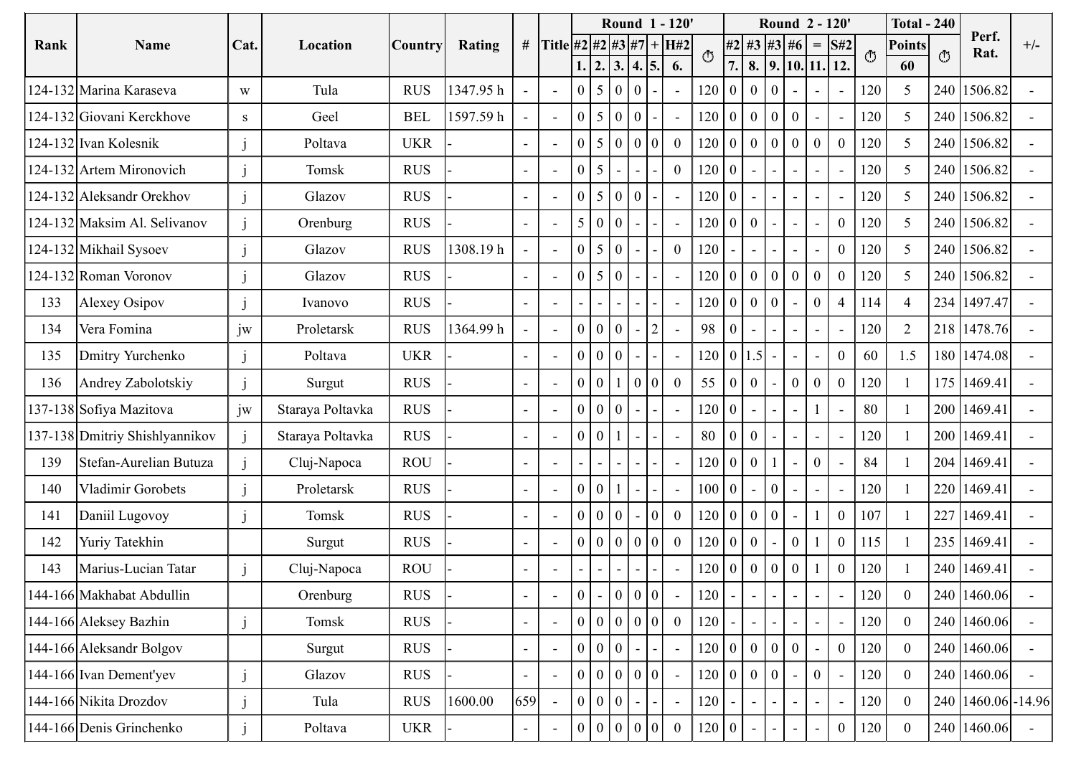|      |                                |      |                  |            |               |            |                           |                 |                                        |                          |              | Round 1 - 120' |         |                       |                                              | Round 2 - 120'   |                          |                          |         | <b>Total - 240</b> |         |                     |       |
|------|--------------------------------|------|------------------|------------|---------------|------------|---------------------------|-----------------|----------------------------------------|--------------------------|--------------|----------------|---------|-----------------------|----------------------------------------------|------------------|--------------------------|--------------------------|---------|--------------------|---------|---------------------|-------|
| Rank | Name                           | Cat. | Location         | Country    | <b>Rating</b> |            | # Title #2 #2 #3 #7 + H#2 |                 |                                        |                          |              |                | O       |                       | $ #2 $ #3   #3   #6   =   S#2                |                  |                          |                          | $\circ$ | <b>Points</b>      | $\circ$ | Perf.<br>Rat.       | $+/-$ |
|      |                                |      |                  |            |               |            |                           |                 | 1.  2.  3.  4.  5.                     |                          |              | 6.             |         | $\overline{7}$ .      | $\mid 8. \mid 9. \mid 10. \mid 11. \mid 12.$ |                  |                          |                          |         | 60                 |         |                     |       |
|      | 124-132 Marina Karaseva        | W    | Tula             | <b>RUS</b> | 1347.95 h     |            | $\sim$                    |                 | $0 \mid 5 \mid 0 \mid 0$               |                          |              |                |         |                       | 120   0   0   0                              | $\omega$         |                          | $\sim$                   | 120     | $\overline{5}$     |         | 240 1506.82         |       |
|      | 124-132 Giovani Kerckhove      | S    | Geel             | <b>BEL</b> | 1597.59h      |            | $\sim$                    |                 | $0 \mid 5 \mid 0 \mid 0$               |                          |              | $\sim$         |         |                       | 120   0   0   0   0                          |                  |                          | $\sim$                   | 120     | $\overline{5}$     |         | 240 1506.82         |       |
|      | 124-132 Ivan Kolesnik          |      | Poltava          | UKR        |               |            | $\sim$                    | $\overline{0}$  | $\vert 5 \vert$                        | 0 <sup>0</sup>           | 0            | $\overline{0}$ |         |                       | $120 \mid 0 \mid 0 \mid 0 \mid 0$            |                  | $\bf{0}$                 | $\boldsymbol{0}$         | 120     | 5                  |         | 240 1506.82         |       |
|      | 124-132 Artem Mironovich       |      | Tomsk            | <b>RUS</b> |               | $\sim$     | $\sim$                    | $0 \mid 5$      |                                        | $\overline{\phantom{a}}$ |              | $\overline{0}$ | $120$ 0 |                       |                                              | $\sim$           | $\overline{\phantom{0}}$ | $\overline{\phantom{a}}$ | 120     | $\mathfrak{S}$     |         | 240 1506.82         |       |
|      | 124-132 Aleksandr Orekhov      |      | Glazov           | <b>RUS</b> |               | $\sim$     | $\sim$                    |                 | $0 \mid 5 \mid 0 \mid 0$               |                          |              | $\sim$         | $120$ 0 |                       |                                              | $\sim$           | $\overline{\phantom{a}}$ | $\sim$                   | 120     | $5\overline{)}$    |         | 240 1506.82         |       |
|      | 124-132 Maksim Al. Selivanov   |      | Orenburg         | <b>RUS</b> |               | $\sim$     | $\sim$                    |                 | 5 0 0                                  |                          |              | $\sim$         |         | $120 \mid 0 \mid 0$   |                                              | $\sim$           |                          | $\overline{0}$           | 120     | $\mathfrak{S}$     |         | 240 1506.82         |       |
|      | 124-132 Mikhail Sysoev         |      | Glazov           | <b>RUS</b> | 1308.19h      | $\sim$ $-$ | $\sim$                    |                 | $0 \mid 5 \mid 0$                      |                          |              | $\overline{0}$ | 120     |                       |                                              | $\sim$           |                          | $\overline{0}$           | 120     | 5                  |         | 240 1506.82         |       |
|      | $124-132$ Roman Voronov        |      | Glazov           | <b>RUS</b> |               | $\sim$ $-$ | $\sim$                    |                 | $ 0 5 0$ -                             |                          |              | $\sim$         |         |                       | 120 0 0 0 0 0                                |                  |                          | $\overline{0}$           | 120     | $\overline{5}$     |         | 240 1506.82         |       |
| 133  | Alexey Osipov                  |      | Ivanovo          | <b>RUS</b> |               | $\sim$ $-$ | $\sim$                    |                 |                                        |                          |              | $\sim$         |         |                       | $120 \mid 0 \mid 0 \mid 0$                   | $\sim$           | $\mathbf{0}$             | $\overline{4}$           | 114     | $\overline{4}$     |         | 234 1497.47         |       |
| 134  | Vera Fomina                    | jw   | Proletarsk       | <b>RUS</b> | 1364.99 h     |            | $\sim$                    |                 | $0$ 0 0                                |                          |              |                | 98 0    |                       |                                              | $\equiv$         |                          |                          | 120     | 2                  |         | 218 1478.76         |       |
| 135  | Dmitry Yurchenko               |      | Poltava          | <b>UKR</b> |               | $\sim$     | $\sim$                    |                 | $0 \mid 0 \mid 0$                      |                          |              |                |         | $120 \mid 0 \mid 1.5$ |                                              | $\blacksquare$   |                          | $\overline{0}$           | 60      | 1.5                |         | 180 1474.08         |       |
| 136  | Andrey Zabolotskiy             |      | Surgut           | <b>RUS</b> |               | $\sim$ $-$ | $\sim$                    |                 |                                        |                          |              | $\overline{0}$ |         | $55 \mid 0 \mid 0$    |                                              | $\overline{0}$   | $\boldsymbol{0}$         | $\boldsymbol{0}$         | 120     |                    |         | 175 1469.41         |       |
|      | 137-138 Sofiya Mazitova        | iw   | Staraya Poltavka | <b>RUS</b> |               | $\sim$     | $\sim$                    |                 | $0 \mid 0 \mid 0$                      |                          |              | $\sim$         | $120$ 0 |                       |                                              | $\blacksquare$   |                          |                          | 80      |                    |         | 200   1469.41       |       |
|      | 137-138 Dmitriy Shishlyannikov |      | Staraya Poltavka | <b>RUS</b> |               | $\sim$     | $\sim$                    |                 |                                        |                          |              |                |         | $80 \mid 0 \mid 0$    |                                              | $\equiv$         |                          |                          | 120     |                    |         | 200   1469.41       |       |
| 139  | Stefan-Aurelian Butuza         |      | Cluj-Napoca      | <b>ROU</b> |               | $\sim$     | $\sim$                    |                 |                                        |                          |              |                |         | 120 0 0               |                                              | $\blacksquare$   | $\overline{0}$           |                          | 84      |                    |         | 204   1469.41       |       |
| 140  | Vladimir Gorobets              |      | Proletarsk       | <b>RUS</b> |               | $\sim$     | $\sim$                    |                 | $\begin{bmatrix} 0 \\ 0 \end{bmatrix}$ |                          |              |                | $100$ 0 |                       | 101                                          | $\blacksquare$   |                          | $\overline{\phantom{a}}$ | $120\,$ |                    |         | 220   1469.41       |       |
| 141  | Daniil Lugovoy                 |      | Tomsk            | <b>RUS</b> |               | $\sim$     | $\sim$                    |                 | $0$ 0 0                                |                          | 0            | $\overline{0}$ |         |                       | $120 \mid 0 \mid 0 \mid 0$                   | $\blacksquare$   |                          | $\overline{0}$           | 107     |                    |         | 227 1469.41         |       |
| 142  | Yuriy Tatekhin                 |      | Surgut           | <b>RUS</b> |               | $\sim$     | $\sim$                    |                 | 000000                                 |                          |              | $\overline{0}$ |         | $120 \mid 0 \mid 0$   |                                              | $\overline{0}$   |                          | $\mathbf{0}$             | 115     |                    |         | 235 1469.41         |       |
| 143  | Marius-Lucian Tatar            |      | Cluj-Napoca      | <b>ROU</b> |               |            | $\sim$                    |                 |                                        |                          |              |                |         | $120$ 0 0             |                                              | $\boldsymbol{0}$ |                          | $\overline{0}$           | 120     |                    |         | 240   1469.41       |       |
|      | 144-166 Makhabat Abdullin      |      | Orenburg         | <b>RUS</b> |               |            | $\sim$                    | $\vert 0 \vert$ |                                        | 0   0   0                |              | $\sim$         | 120     |                       |                                              | $\sim$           |                          | $\overline{\phantom{a}}$ | 120     | $\overline{0}$     |         | 240 1460.06         |       |
|      | 144-166 Aleksey Bazhin         |      | Tomsk            | <b>RUS</b> |               |            | $\sim$                    |                 | 000000                                 |                          |              | $\overline{0}$ | 120     |                       |                                              |                  |                          |                          | 120     | $\overline{0}$     |         | 240 1460.06         |       |
|      | 144-166 Aleksandr Bolgov       |      | Surgut           | <b>RUS</b> |               | $\sim$     | $\sim$                    |                 | $0 \mid 0 \mid 0$                      |                          |              |                |         |                       | $120 \mid 0 \mid 0 \mid 0$                   | $\mathbf{0}$     |                          | $\overline{0}$           | 120     | $\theta$           |         | 240 1460.06         |       |
|      | 144-166 Ivan Dement'yev        |      | Glazov           | <b>RUS</b> |               | $\sim$     | $\sim$                    |                 | 0 0 0 0                                |                          | $\sqrt{101}$ | $\sim$         | $120$ 0 |                       | $\overline{0}$<br>$\overline{0}$             | $\sim$           | $\overline{0}$           |                          | 120     | $\overline{0}$     |         | 240 1460.06         |       |
|      | 144-166 Nikita Drozdov         |      | Tula             | <b>RUS</b> | 1600.00       | 659        | $\sim$                    |                 | $0$ 0 0                                |                          |              | $\sim$         | 120     |                       |                                              | $\sim$           |                          | $\blacksquare$           | 120     | $\overline{0}$     |         | 240 1460.06 - 14.96 |       |
|      | 144-166 Denis Grinchenko       |      | Poltava          | <b>UKR</b> |               | $\sim$ $-$ |                           |                 | 00000                                  |                          |              | $\overline{0}$ | $120$ 0 |                       |                                              | $\blacksquare$   |                          | $\overline{0}$           | 120     | $\overline{0}$     |         | 240 1460.06         |       |
|      |                                |      |                  |            |               |            | $\sim$                    |                 |                                        |                          |              |                |         |                       |                                              |                  |                          |                          |         |                    |         |                     |       |